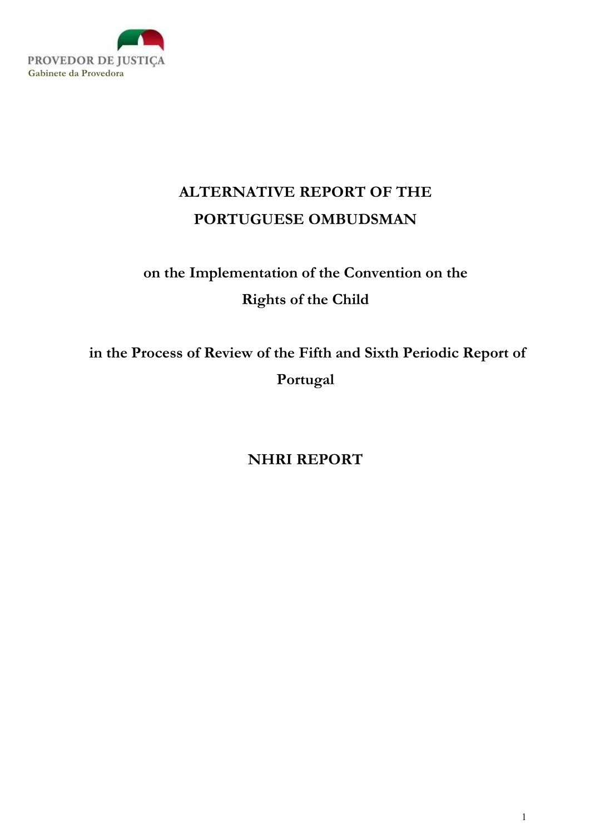

# ALTERNATIVE REPORT OF THE PORTUGUESE OMBUDSMAN

# on the Implementation of the Convention on the Rights of the Child

 in the Process of Review of the Fifth and Sixth Periodic Report of Portugal

NHRI REPORT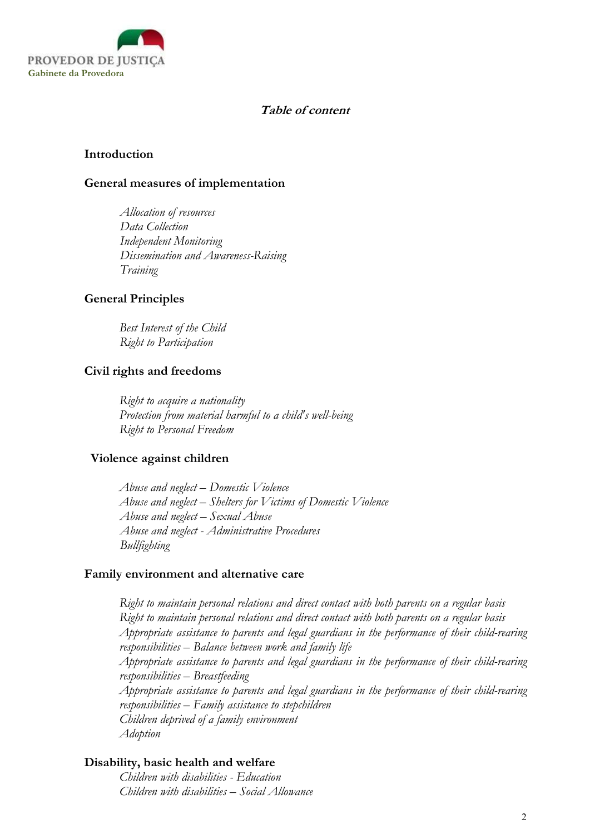

### Table of content

#### Introduction

#### General measures of implementation

Allocation of resources Data Collection Independent Monitoring Dissemination and Awareness-Raising Training

## General Principles

Best Interest of the Child Right to Participation

#### Civil rights and freedoms

Right to acquire a nationality Protection from material harmful to a child's well-being Right to Personal Freedom

#### Violence against children

Abuse and neglect – Domestic Violence Abuse and neglect – Shelters for Victims of Domestic Violence Abuse and neglect – Sexual Abuse Abuse and neglect - Administrative Procedures Bullfighting

#### Family environment and alternative care

Right to maintain personal relations and direct contact with both parents on a regular basis Right to maintain personal relations and direct contact with both parents on a regular basis Appropriate assistance to parents and legal guardians in the performance of their child-rearing responsibilities – Balance between work and family life Appropriate assistance to parents and legal guardians in the performance of their child-rearing responsibilities – Breastfeeding Appropriate assistance to parents and legal guardians in the performance of their child-rearing responsibilities – Family assistance to stepchildren Children deprived of a family environment Adoption

## Disability, basic health and welfare

Children with disabilities - Education Children with disabilities – Social Allowance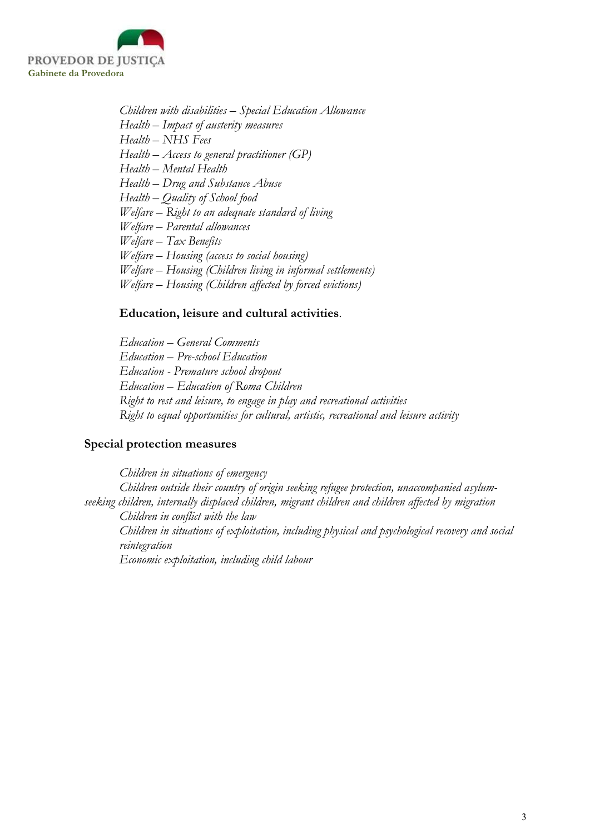

Children with disabilities – Special Education Allowance Health – Impact of austerity measures Health – NHS Fees  $Health - Access to general practitioner (GP)$ Health – Mental Health Health – Drug and Substance Abuse Health – Quality of School food Welfare – Right to an adequate standard of living Welfare – Parental allowances Welfare – Tax Benefits Welfare – Housing (access to social housing) Welfare – Housing (Children living in informal settlements) Welfare – Housing (Children affected by forced evictions)

#### Education, leisure and cultural activities.

Education – General Comments Education – Pre-school Education Education - Premature school dropout Education – Education of Roma Children Right to rest and leisure, to engage in play and recreational activities Right to equal opportunities for cultural, artistic, recreational and leisure activity

#### Special protection measures

Children in situations of emergency Children outside their country of origin seeking refugee protection, unaccompanied asylumseeking children, internally displaced children, migrant children and children affected by migration Children in conflict with the law Children in situations of exploitation, including physical and psychological recovery and social reintegration Economic exploitation, including child labour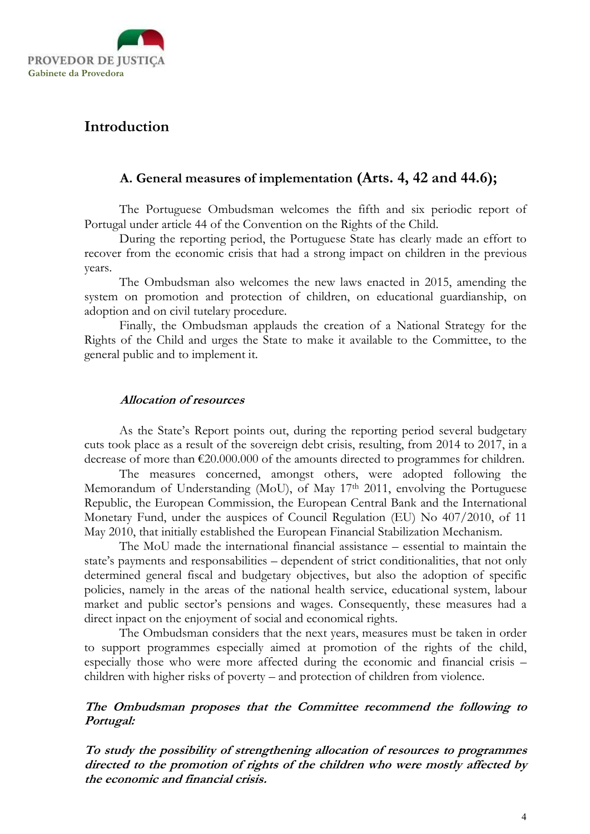

## Introduction

## A. General measures of implementation (Arts. 4, 42 and 44.6);

The Portuguese Ombudsman welcomes the fifth and six periodic report of Portugal under article 44 of the Convention on the Rights of the Child.

During the reporting period, the Portuguese State has clearly made an effort to recover from the economic crisis that had a strong impact on children in the previous years.

The Ombudsman also welcomes the new laws enacted in 2015, amending the system on promotion and protection of children, on educational guardianship, on adoption and on civil tutelary procedure.

Finally, the Ombudsman applauds the creation of a National Strategy for the Rights of the Child and urges the State to make it available to the Committee, to the general public and to implement it.

## Allocation of resources

As the State's Report points out, during the reporting period several budgetary cuts took place as a result of the sovereign debt crisis, resulting, from 2014 to 2017, in a decrease of more than €20.000.000 of the amounts directed to programmes for children.

The measures concerned, amongst others, were adopted following the Memorandum of Understanding (MoU), of May 17<sup>th</sup> 2011, envolving the Portuguese Republic, the European Commission, the European Central Bank and the International Monetary Fund, under the auspices of Council Regulation (EU) No 407/2010, of 11 May 2010, that initially established the European Financial Stabilization Mechanism.

The MoU made the international financial assistance – essential to maintain the state's payments and responsabilities – dependent of strict conditionalities, that not only determined general fiscal and budgetary objectives, but also the adoption of specific policies, namely in the areas of the national health service, educational system, labour market and public sector's pensions and wages. Consequently, these measures had a direct inpact on the enjoyment of social and economical rights.

The Ombudsman considers that the next years, measures must be taken in order to support programmes especially aimed at promotion of the rights of the child, especially those who were more affected during the economic and financial crisis – children with higher risks of poverty – and protection of children from violence.

## The Ombudsman proposes that the Committee recommend the following to Portugal:

To study the possibility of strengthening allocation of resources to programmes directed to the promotion of rights of the children who were mostly affected by the economic and financial crisis.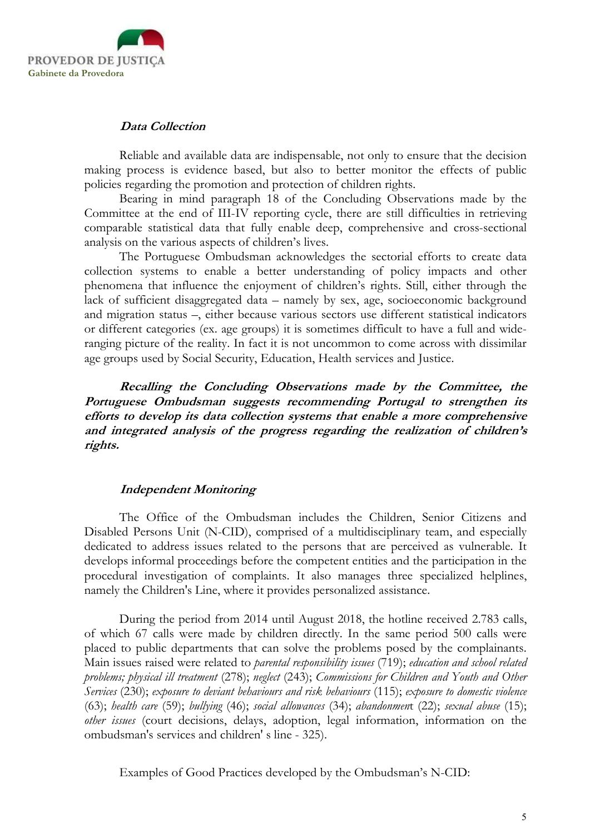

#### Data Collection

Reliable and available data are indispensable, not only to ensure that the decision making process is evidence based, but also to better monitor the effects of public policies regarding the promotion and protection of children rights.

Bearing in mind paragraph 18 of the Concluding Observations made by the Committee at the end of III-IV reporting cycle, there are still difficulties in retrieving comparable statistical data that fully enable deep, comprehensive and cross-sectional analysis on the various aspects of children's lives.

The Portuguese Ombudsman acknowledges the sectorial efforts to create data collection systems to enable a better understanding of policy impacts and other phenomena that influence the enjoyment of children's rights. Still, either through the lack of sufficient disaggregated data – namely by sex, age, socioeconomic background and migration status –, either because various sectors use different statistical indicators or different categories (ex. age groups) it is sometimes difficult to have a full and wideranging picture of the reality. In fact it is not uncommon to come across with dissimilar age groups used by Social Security, Education, Health services and Justice.

Recalling the Concluding Observations made by the Committee, the Portuguese Ombudsman suggests recommending Portugal to strengthen its efforts to develop its data collection systems that enable a more comprehensive and integrated analysis of the progress regarding the realization of children's rights.

## Independent Monitoring

The Office of the Ombudsman includes the Children, Senior Citizens and Disabled Persons Unit (N-CID), comprised of a multidisciplinary team, and especially dedicated to address issues related to the persons that are perceived as vulnerable. It develops informal proceedings before the competent entities and the participation in the procedural investigation of complaints. It also manages three specialized helplines, namely the Children's Line, where it provides personalized assistance.

During the period from 2014 until August 2018, the hotline received 2.783 calls, of which 67 calls were made by children directly. In the same period 500 calls were placed to public departments that can solve the problems posed by the complainants. Main issues raised were related to parental responsibility issues (719); education and school related problems; physical ill treatment (278); neglect (243); Commissions for Children and Youth and Other Services (230); exposure to deviant behaviours and risk behaviours (115); exposure to domestic violence (63); health care (59); bullying (46); social allowances (34); abandonment (22); sexual abuse (15); other issues (court decisions, delays, adoption, legal information, information on the ombudsman's services and children' s line - 325).

Examples of Good Practices developed by the Ombudsman's N-CID: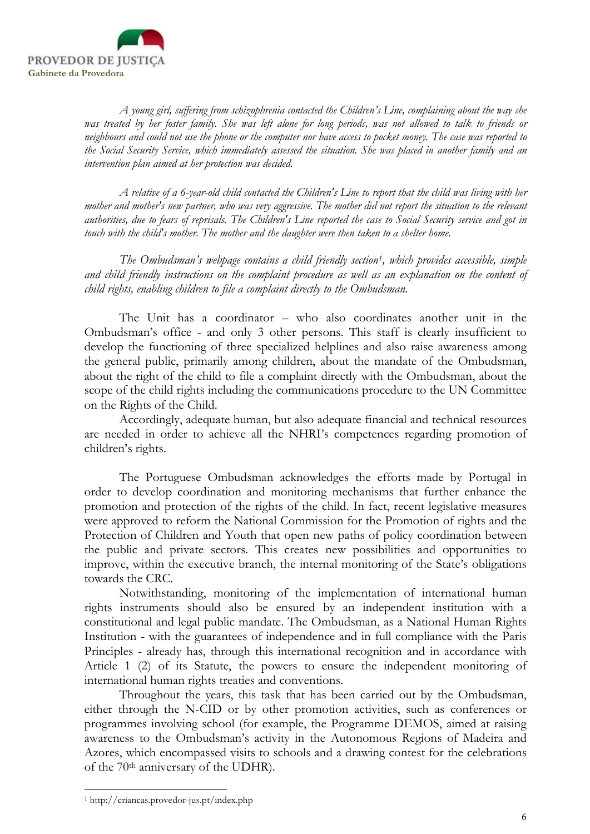

A young girl, suffering from schizophrenia contacted the Children's Line, complaining about the way she was treated by her foster family. She was left alone for long periods, was not allowed to talk to friends or neighbours and could not use the phone or the computer nor have access to pocket money. The case was reported to the Social Security Service, which immediately assessed the situation. She was placed in another family and an intervention plan aimed at her protection was decided.

A relative of a 6-year-old child contacted the Children's Line to report that the child was living with her mother and mother's new partner, who was very aggressive. The mother did not report the situation to the relevant authorities, due to fears of reprisals. The Children's Line reported the case to Social Security service and got in touch with the child's mother. The mother and the daughter were then taken to a shelter home.

The Ombudsman's webpage contains a child friendly section<sup>1</sup>, which provides accessible, simple and child friendly instructions on the complaint procedure as well as an explanation on the content of child rights, enabling children to file a complaint directly to the Ombudsman.

The Unit has a coordinator – who also coordinates another unit in the Ombudsman's office - and only 3 other persons. This staff is clearly insufficient to develop the functioning of three specialized helplines and also raise awareness among the general public, primarily among children, about the mandate of the Ombudsman, about the right of the child to file a complaint directly with the Ombudsman, about the scope of the child rights including the communications procedure to the UN Committee on the Rights of the Child.

Accordingly, adequate human, but also adequate financial and technical resources are needed in order to achieve all the NHRI's competences regarding promotion of children's rights.

The Portuguese Ombudsman acknowledges the efforts made by Portugal in order to develop coordination and monitoring mechanisms that further enhance the promotion and protection of the rights of the child. In fact, recent legislative measures were approved to reform the National Commission for the Promotion of rights and the Protection of Children and Youth that open new paths of policy coordination between the public and private sectors. This creates new possibilities and opportunities to improve, within the executive branch, the internal monitoring of the State's obligations towards the CRC.

Notwithstanding, monitoring of the implementation of international human rights instruments should also be ensured by an independent institution with a constitutional and legal public mandate. The Ombudsman, as a National Human Rights Institution - with the guarantees of independence and in full compliance with the Paris Principles - already has, through this international recognition and in accordance with Article 1 (2) of its Statute, the powers to ensure the independent monitoring of international human rights treaties and conventions.

Throughout the years, this task that has been carried out by the Ombudsman, either through the N-CID or by other promotion activities, such as conferences or programmes involving school (for example, the Programme DEMOS, aimed at raising awareness to the Ombudsman's activity in the Autonomous Regions of Madeira and Azores, which encompassed visits to schools and a drawing contest for the celebrations of the 70th anniversary of the UDHR).

<sup>1</sup> http://criancas.provedor-jus.pt/index.php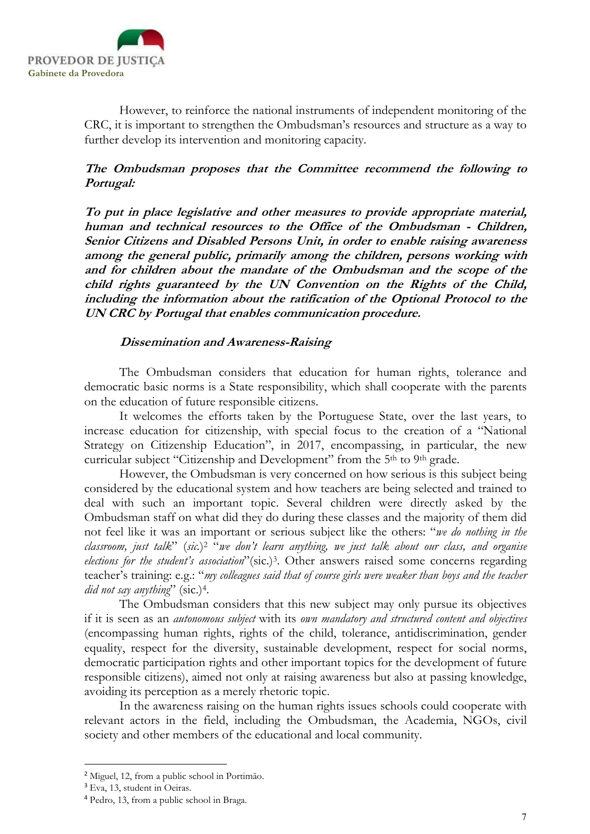

However, to reinforce the national instruments of independent monitoring of the CRC, it is important to strengthen the Ombudsman's resources and structure as a way to further develop its intervention and monitoring capacity.

## The Ombudsman proposes that the Committee recommend the following to Portugal:

To put in place legislative and other measures to provide appropriate material, human and technical resources to the Office of the Ombudsman - Children, Senior Citizens and Disabled Persons Unit, in order to enable raising awareness among the general public, primarily among the children, persons working with and for children about the mandate of the Ombudsman and the scope of the child rights guaranteed by the UN Convention on the Rights of the Child, including the information about the ratification of the Optional Protocol to the UN CRC by Portugal that enables communication procedure.

## Dissemination and Awareness-Raising

The Ombudsman considers that education for human rights, tolerance and democratic basic norms is a State responsibility, which shall cooperate with the parents on the education of future responsible citizens.

It welcomes the efforts taken by the Portuguese State, over the last years, to increase education for citizenship, with special focus to the creation of a "National Strategy on Citizenship Education", in 2017, encompassing, in particular, the new curricular subject "Citizenship and Development" from the 5<sup>th</sup> to 9<sup>th</sup> grade.

However, the Ombudsman is very concerned on how serious is this subject being considered by the educational system and how teachers are being selected and trained to deal with such an important topic. Several children were directly asked by the Ombudsman staff on what did they do during these classes and the majority of them did not feel like it was an important or serious subject like the others: "we do nothing in the classroom, just talk" (sic.)<sup>2</sup> "we don't learn anything, we just talk about our class, and organise elections for the student's association"(sic.)<sup>3</sup>. Other answers raised some concerns regarding teacher's training: e.g.: "my colleagues said that of course girls were weaker than boys and the teacher did not say anything" (sic.)<sup>4</sup>.

The Ombudsman considers that this new subject may only pursue its objectives if it is seen as an autonomous subject with its own mandatory and structured content and objectives (encompassing human rights, rights of the child, tolerance, antidiscrimination, gender equality, respect for the diversity, sustainable development, respect for social norms, democratic participation rights and other important topics for the development of future responsible citizens), aimed not only at raising awareness but also at passing knowledge, avoiding its perception as a merely rhetoric topic.

In the awareness raising on the human rights issues schools could cooperate with relevant actors in the field, including the Ombudsman, the Academia, NGOs, civil society and other members of the educational and local community.

<sup>2</sup> Miguel, 12, from a public school in Portimão.

<sup>&</sup>lt;sup>3</sup> Eva, 13, student in Oeiras.

<sup>4</sup> Pedro, 13, from a public school in Braga.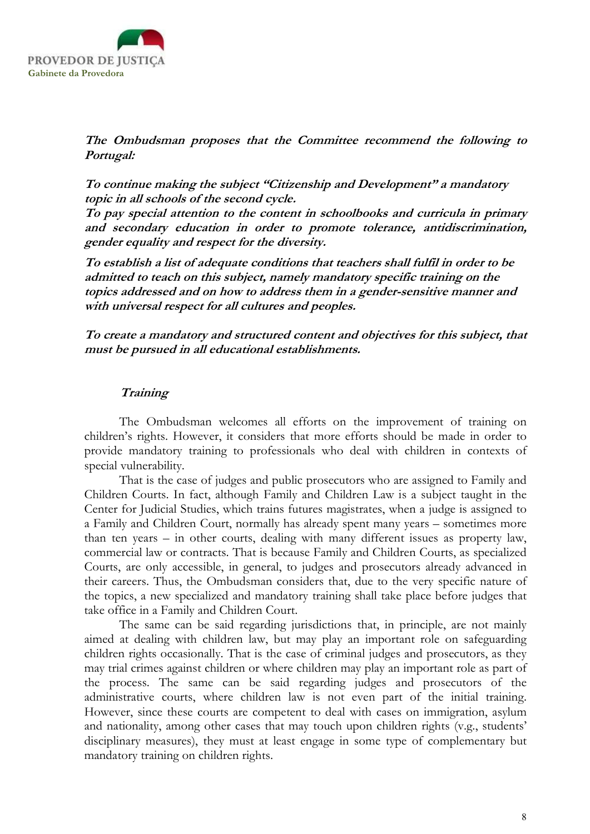

The Ombudsman proposes that the Committee recommend the following to Portugal:

To continue making the subject "Citizenship and Development" a mandatory topic in all schools of the second cycle.

To pay special attention to the content in schoolbooks and curricula in primary and secondary education in order to promote tolerance, antidiscrimination, gender equality and respect for the diversity.

To establish a list of adequate conditions that teachers shall fulfil in order to be admitted to teach on this subject, namely mandatory specific training on the topics addressed and on how to address them in a gender-sensitive manner and with universal respect for all cultures and peoples.

To create a mandatory and structured content and objectives for this subject, that must be pursued in all educational establishments.

## **Training**

The Ombudsman welcomes all efforts on the improvement of training on children's rights. However, it considers that more efforts should be made in order to provide mandatory training to professionals who deal with children in contexts of special vulnerability.

That is the case of judges and public prosecutors who are assigned to Family and Children Courts. In fact, although Family and Children Law is a subject taught in the Center for Judicial Studies, which trains futures magistrates, when a judge is assigned to a Family and Children Court, normally has already spent many years – sometimes more than ten years – in other courts, dealing with many different issues as property law, commercial law or contracts. That is because Family and Children Courts, as specialized Courts, are only accessible, in general, to judges and prosecutors already advanced in their careers. Thus, the Ombudsman considers that, due to the very specific nature of the topics, a new specialized and mandatory training shall take place before judges that take office in a Family and Children Court.

The same can be said regarding jurisdictions that, in principle, are not mainly aimed at dealing with children law, but may play an important role on safeguarding children rights occasionally. That is the case of criminal judges and prosecutors, as they may trial crimes against children or where children may play an important role as part of the process. The same can be said regarding judges and prosecutors of the administrative courts, where children law is not even part of the initial training. However, since these courts are competent to deal with cases on immigration, asylum and nationality, among other cases that may touch upon children rights (v.g., students' disciplinary measures), they must at least engage in some type of complementary but mandatory training on children rights.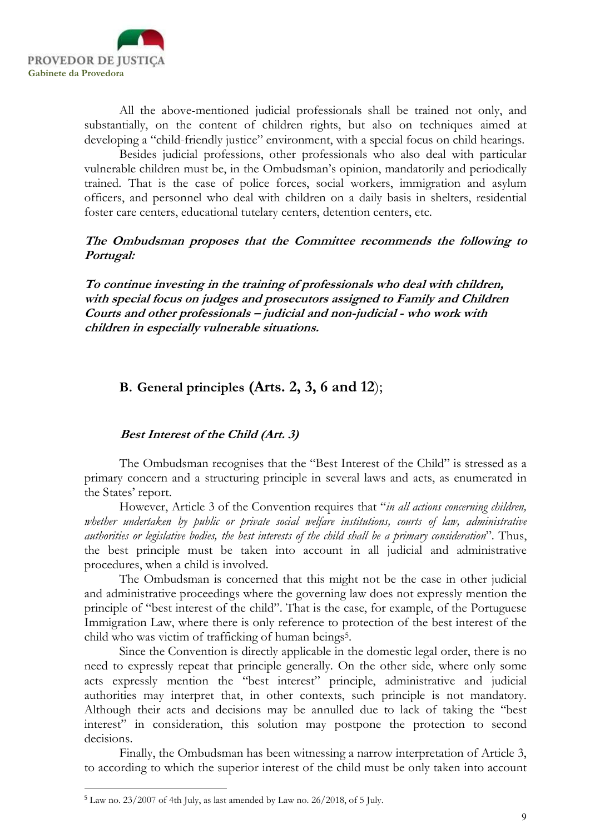

All the above-mentioned judicial professionals shall be trained not only, and substantially, on the content of children rights, but also on techniques aimed at developing a "child-friendly justice" environment, with a special focus on child hearings.

Besides judicial professions, other professionals who also deal with particular vulnerable children must be, in the Ombudsman's opinion, mandatorily and periodically trained. That is the case of police forces, social workers, immigration and asylum officers, and personnel who deal with children on a daily basis in shelters, residential foster care centers, educational tutelary centers, detention centers, etc.

### The Ombudsman proposes that the Committee recommends the following to Portugal:

To continue investing in the training of professionals who deal with children, with special focus on judges and prosecutors assigned to Family and Children Courts and other professionals – judicial and non-judicial - who work with children in especially vulnerable situations.

## B. General principles (Arts. 2, 3, 6 and 12);

## Best Interest of the Child (Art. 3)

The Ombudsman recognises that the "Best Interest of the Child" is stressed as a primary concern and a structuring principle in several laws and acts, as enumerated in the States' report.

However, Article 3 of the Convention requires that "in all actions concerning children, whether undertaken by public or private social welfare institutions, courts of law, administrative authorities or legislative bodies, the best interests of the child shall be a primary consideration". Thus, the best principle must be taken into account in all judicial and administrative procedures, when a child is involved.

The Ombudsman is concerned that this might not be the case in other judicial and administrative proceedings where the governing law does not expressly mention the principle of "best interest of the child". That is the case, for example, of the Portuguese Immigration Law, where there is only reference to protection of the best interest of the child who was victim of trafficking of human beings<sup>5</sup>.

Since the Convention is directly applicable in the domestic legal order, there is no need to expressly repeat that principle generally. On the other side, where only some acts expressly mention the "best interest" principle, administrative and judicial authorities may interpret that, in other contexts, such principle is not mandatory. Although their acts and decisions may be annulled due to lack of taking the "best interest" in consideration, this solution may postpone the protection to second decisions.

Finally, the Ombudsman has been witnessing a narrow interpretation of Article 3, to according to which the superior interest of the child must be only taken into account

<sup>5</sup> Law no. 23/2007 of 4th July, as last amended by Law no. 26/2018, of 5 July.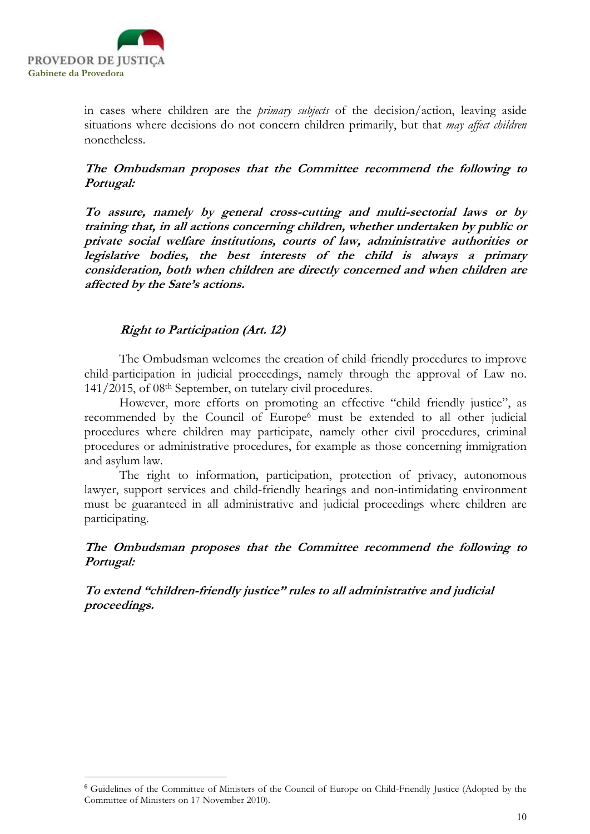

-

in cases where children are the primary subjects of the decision/action, leaving aside situations where decisions do not concern children primarily, but that *may affect children* nonetheless.

## The Ombudsman proposes that the Committee recommend the following to Portugal:

To assure, namely by general cross-cutting and multi-sectorial laws or by training that, in all actions concerning children, whether undertaken by public or private social welfare institutions, courts of law, administrative authorities or legislative bodies, the best interests of the child is always a primary consideration, both when children are directly concerned and when children are affected by the Sate's actions.

## Right to Participation (Art. 12)

The Ombudsman welcomes the creation of child-friendly procedures to improve child-participation in judicial proceedings, namely through the approval of Law no. 141/2015, of 08th September, on tutelary civil procedures.

However, more efforts on promoting an effective "child friendly justice", as recommended by the Council of Europe<sup>6</sup> must be extended to all other judicial procedures where children may participate, namely other civil procedures, criminal procedures or administrative procedures, for example as those concerning immigration and asylum law.

The right to information, participation, protection of privacy, autonomous lawyer, support services and child-friendly hearings and non-intimidating environment must be guaranteed in all administrative and judicial proceedings where children are participating.

## The Ombudsman proposes that the Committee recommend the following to Portugal:

To extend "children-friendly justice" rules to all administrative and judicial proceedings.

<sup>6</sup> Guidelines of the Committee of Ministers of the Council of Europe on Child-Friendly Justice (Adopted by the Committee of Ministers on 17 November 2010).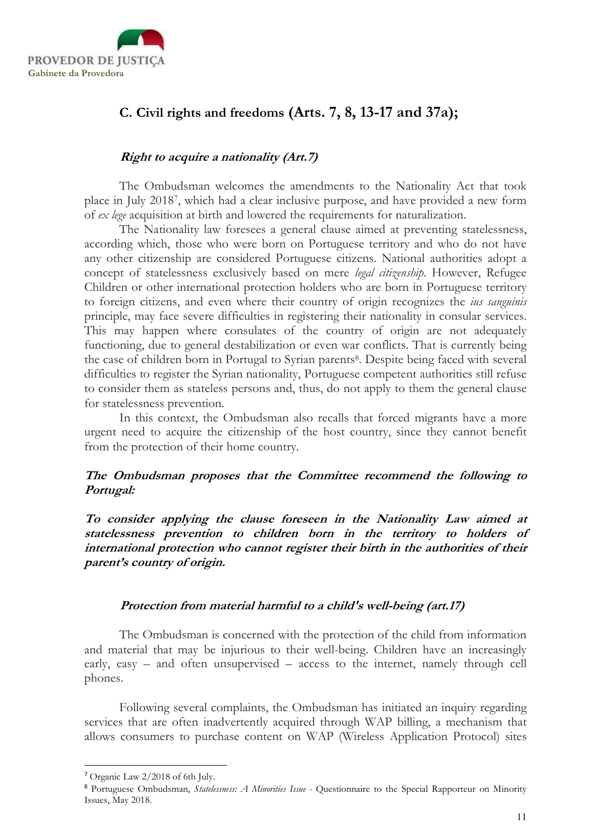

## C. Civil rights and freedoms (Arts. 7, 8, 13-17 and 37a);

## Right to acquire a nationality (Art.7)

The Ombudsman welcomes the amendments to the Nationality Act that took place in July 2018<sup>7</sup> , which had a clear inclusive purpose, and have provided a new form of ex lege acquisition at birth and lowered the requirements for naturalization.

The Nationality law foresees a general clause aimed at preventing statelessness, according which, those who were born on Portuguese territory and who do not have any other citizenship are considered Portuguese citizens. National authorities adopt a concept of statelessness exclusively based on mere legal citizenship. However, Refugee Children or other international protection holders who are born in Portuguese territory to foreign citizens, and even where their country of origin recognizes the *ius sanguinis* principle, may face severe difficulties in registering their nationality in consular services. This may happen where consulates of the country of origin are not adequately functioning, due to general destabilization or even war conflicts. That is currently being the case of children born in Portugal to Syrian parents<sup>8</sup>. Despite being faced with several difficulties to register the Syrian nationality, Portuguese competent authorities still refuse to consider them as stateless persons and, thus, do not apply to them the general clause for statelessness prevention.

In this context, the Ombudsman also recalls that forced migrants have a more urgent need to acquire the citizenship of the host country, since they cannot benefit from the protection of their home country.

## The Ombudsman proposes that the Committee recommend the following to Portugal:

To consider applying the clause foreseen in the Nationality Law aimed at statelessness prevention to children born in the territory to holders of international protection who cannot register their birth in the authorities of their parent's country of origin.

## Protection from material harmful to a child's well-being (art.17)

The Ombudsman is concerned with the protection of the child from information and material that may be injurious to their well-being. Children have an increasingly early, easy – and often unsupervised – access to the internet, namely through cell phones.

Following several complaints, the Ombudsman has initiated an inquiry regarding services that are often inadvertently acquired through WAP billing, a mechanism that allows consumers to purchase content on WAP (Wireless Application Protocol) sites

<sup>7</sup> Organic Law 2/2018 of 6th July.

<sup>&</sup>lt;sup>8</sup> Portuguese Ombudsman, Statelessness: A Minorities Issue - Questionnaire to the Special Rapporteur on Minority Issues, May 2018.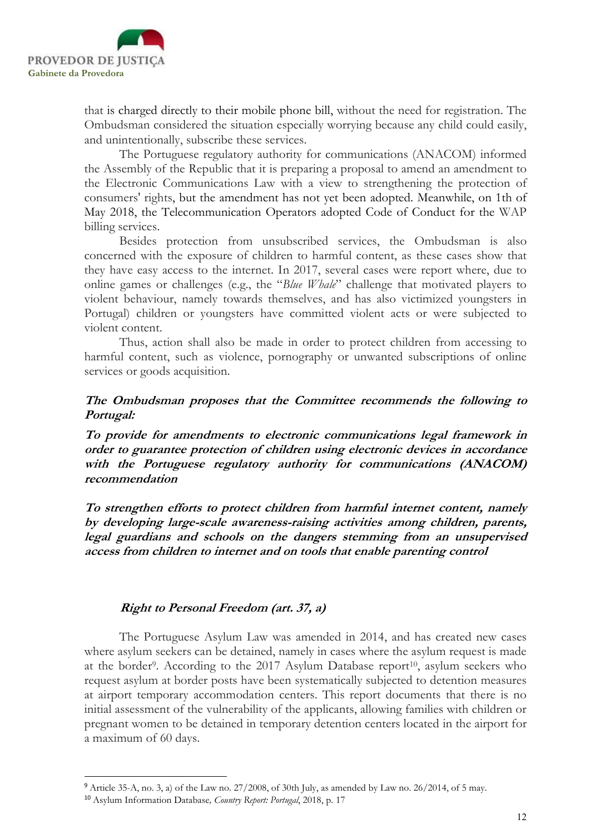

that is charged directly to their mobile phone bill, without the need for registration. The Ombudsman considered the situation especially worrying because any child could easily, and unintentionally, subscribe these services.

The Portuguese regulatory authority for communications (ANACOM) informed the Assembly of the Republic that it is preparing a proposal to amend an amendment to the Electronic Communications Law with a view to strengthening the protection of consumers' rights, but the amendment has not yet been adopted. Meanwhile, on 1th of May 2018, the Telecommunication Operators adopted Code of Conduct for the WAP billing services.

Besides protection from unsubscribed services, the Ombudsman is also concerned with the exposure of children to harmful content, as these cases show that they have easy access to the internet. In 2017, several cases were report where, due to online games or challenges (e.g., the "Blue Whale" challenge that motivated players to violent behaviour, namely towards themselves, and has also victimized youngsters in Portugal) children or youngsters have committed violent acts or were subjected to violent content.

Thus, action shall also be made in order to protect children from accessing to harmful content, such as violence, pornography or unwanted subscriptions of online services or goods acquisition.

## The Ombudsman proposes that the Committee recommends the following to Portugal:

To provide for amendments to electronic communications legal framework in order to guarantee protection of children using electronic devices in accordance with the Portuguese regulatory authority for communications (ANACOM) recommendation

To strengthen efforts to protect children from harmful internet content, namely by developing large-scale awareness-raising activities among children, parents, legal guardians and schools on the dangers stemming from an unsupervised access from children to internet and on tools that enable parenting control

## Right to Personal Freedom (art. 37, a)

The Portuguese Asylum Law was amended in 2014, and has created new cases where asylum seekers can be detained, namely in cases where the asylum request is made at the border<sup>9</sup>. According to the 2017 Asylum Database report<sup>10</sup>, asylum seekers who request asylum at border posts have been systematically subjected to detention measures at airport temporary accommodation centers. This report documents that there is no initial assessment of the vulnerability of the applicants, allowing families with children or pregnant women to be detained in temporary detention centers located in the airport for a maximum of 60 days.

<sup>9</sup> Article 35-A, no. 3, a) of the Law no. 27/2008, of 30th July, as amended by Law no. 26/2014, of 5 may.

<sup>10</sup> Asylum Information Database, Country Report: Portugal, 2018, p. 17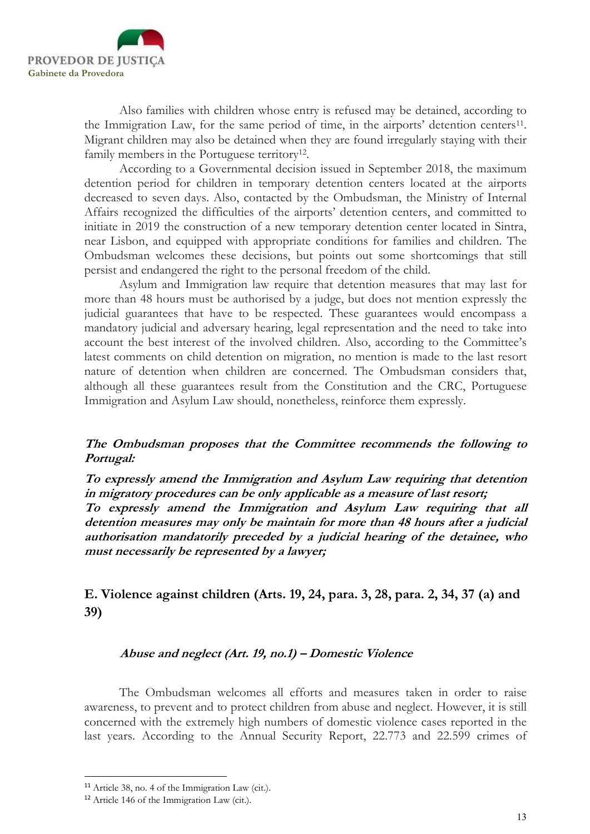

Also families with children whose entry is refused may be detained, according to the Immigration Law, for the same period of time, in the airports' detention centers<sup>11</sup>. Migrant children may also be detained when they are found irregularly staying with their family members in the Portuguese territory<sup>12</sup>.

According to a Governmental decision issued in September 2018, the maximum detention period for children in temporary detention centers located at the airports decreased to seven days. Also, contacted by the Ombudsman, the Ministry of Internal Affairs recognized the difficulties of the airports' detention centers, and committed to initiate in 2019 the construction of a new temporary detention center located in Sintra, near Lisbon, and equipped with appropriate conditions for families and children. The Ombudsman welcomes these decisions, but points out some shortcomings that still persist and endangered the right to the personal freedom of the child.

Asylum and Immigration law require that detention measures that may last for more than 48 hours must be authorised by a judge, but does not mention expressly the judicial guarantees that have to be respected. These guarantees would encompass a mandatory judicial and adversary hearing, legal representation and the need to take into account the best interest of the involved children. Also, according to the Committee's latest comments on child detention on migration, no mention is made to the last resort nature of detention when children are concerned. The Ombudsman considers that, although all these guarantees result from the Constitution and the CRC, Portuguese Immigration and Asylum Law should, nonetheless, reinforce them expressly.

## The Ombudsman proposes that the Committee recommends the following to Portugal:

To expressly amend the Immigration and Asylum Law requiring that detention in migratory procedures can be only applicable as a measure of last resort; To expressly amend the Immigration and Asylum Law requiring that all detention measures may only be maintain for more than 48 hours after a judicial authorisation mandatorily preceded by a judicial hearing of the detainee, who must necessarily be represented by a lawyer;

## E. Violence against children (Arts. 19, 24, para. 3, 28, para. 2, 34, 37 (a) and 39)

## Abuse and neglect (Art. 19, no.1) – Domestic Violence

The Ombudsman welcomes all efforts and measures taken in order to raise awareness, to prevent and to protect children from abuse and neglect. However, it is still concerned with the extremely high numbers of domestic violence cases reported in the last years. According to the Annual Security Report, 22.773 and 22.599 crimes of

<sup>11</sup> Article 38, no. 4 of the Immigration Law (cit.).

<sup>12</sup> Article 146 of the Immigration Law (cit.).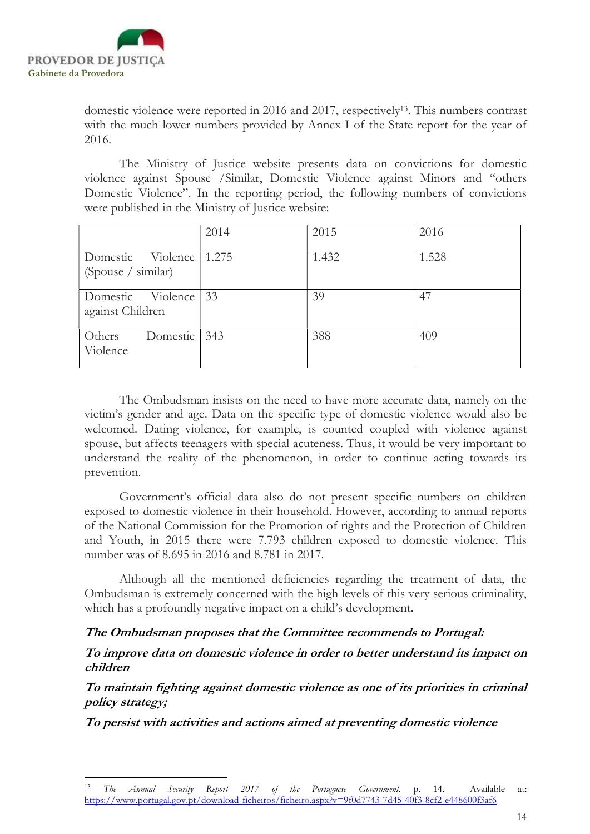

-

domestic violence were reported in 2016 and 2017, respectively<sup>13</sup>. This numbers contrast with the much lower numbers provided by Annex I of the State report for the year of 2016.

The Ministry of Justice website presents data on convictions for domestic violence against Spouse /Similar, Domestic Violence against Minors and "others Domestic Violence". In the reporting period, the following numbers of convictions were published in the Ministry of Justice website:

|                                          | 2014  | 2015  | 2016  |
|------------------------------------------|-------|-------|-------|
| Domestic Violence<br>(Spouse / similar)  | 1.275 | 1.432 | 1.528 |
| Domestic Violence 33<br>against Children |       | 39    | 47    |
| Domestic<br>Others<br>Violence           | 343   | 388   | 409   |

The Ombudsman insists on the need to have more accurate data, namely on the victim's gender and age. Data on the specific type of domestic violence would also be welcomed. Dating violence, for example, is counted coupled with violence against spouse, but affects teenagers with special acuteness. Thus, it would be very important to understand the reality of the phenomenon, in order to continue acting towards its prevention.

Government's official data also do not present specific numbers on children exposed to domestic violence in their household. However, according to annual reports of the National Commission for the Promotion of rights and the Protection of Children and Youth, in 2015 there were 7.793 children exposed to domestic violence. This number was of 8.695 in 2016 and 8.781 in 2017.

Although all the mentioned deficiencies regarding the treatment of data, the Ombudsman is extremely concerned with the high levels of this very serious criminality, which has a profoundly negative impact on a child's development.

## The Ombudsman proposes that the Committee recommends to Portugal:

To improve data on domestic violence in order to better understand its impact on children

To maintain fighting against domestic violence as one of its priorities in criminal policy strategy;

To persist with activities and actions aimed at preventing domestic violence

The Annual Security Report 2017 of the Portuguese Government, p. 14. Available at: https://www.portugal.gov.pt/download-ficheiros/ficheiro.aspx?v=9f0d7743-7d45-40f3-8cf2-e448600f3af6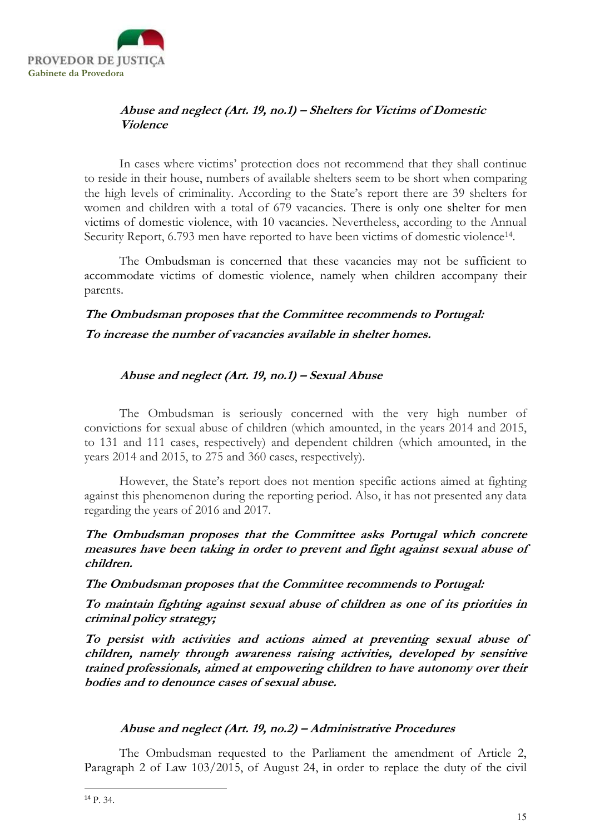

## Abuse and neglect (Art. 19, no.1) – Shelters for Victims of Domestic Violence

In cases where victims' protection does not recommend that they shall continue to reside in their house, numbers of available shelters seem to be short when comparing the high levels of criminality. According to the State's report there are 39 shelters for women and children with a total of 679 vacancies. There is only one shelter for men victims of domestic violence, with 10 vacancies. Nevertheless, according to the Annual Security Report, 6.793 men have reported to have been victims of domestic violence<sup>14</sup>.

The Ombudsman is concerned that these vacancies may not be sufficient to accommodate victims of domestic violence, namely when children accompany their parents.

## The Ombudsman proposes that the Committee recommends to Portugal: To increase the number of vacancies available in shelter homes.

## Abuse and neglect (Art. 19, no.1) – Sexual Abuse

The Ombudsman is seriously concerned with the very high number of convictions for sexual abuse of children (which amounted, in the years 2014 and 2015, to 131 and 111 cases, respectively) and dependent children (which amounted, in the years 2014 and 2015, to 275 and 360 cases, respectively).

However, the State's report does not mention specific actions aimed at fighting against this phenomenon during the reporting period. Also, it has not presented any data regarding the years of 2016 and 2017.

The Ombudsman proposes that the Committee asks Portugal which concrete measures have been taking in order to prevent and fight against sexual abuse of children.

The Ombudsman proposes that the Committee recommends to Portugal:

To maintain fighting against sexual abuse of children as one of its priorities in criminal policy strategy;

To persist with activities and actions aimed at preventing sexual abuse of children, namely through awareness raising activities, developed by sensitive trained professionals, aimed at empowering children to have autonomy over their bodies and to denounce cases of sexual abuse.

## Abuse and neglect (Art. 19, no.2) – Administrative Procedures

The Ombudsman requested to the Parliament the amendment of Article 2, Paragraph 2 of Law 103/2015, of August 24, in order to replace the duty of the civil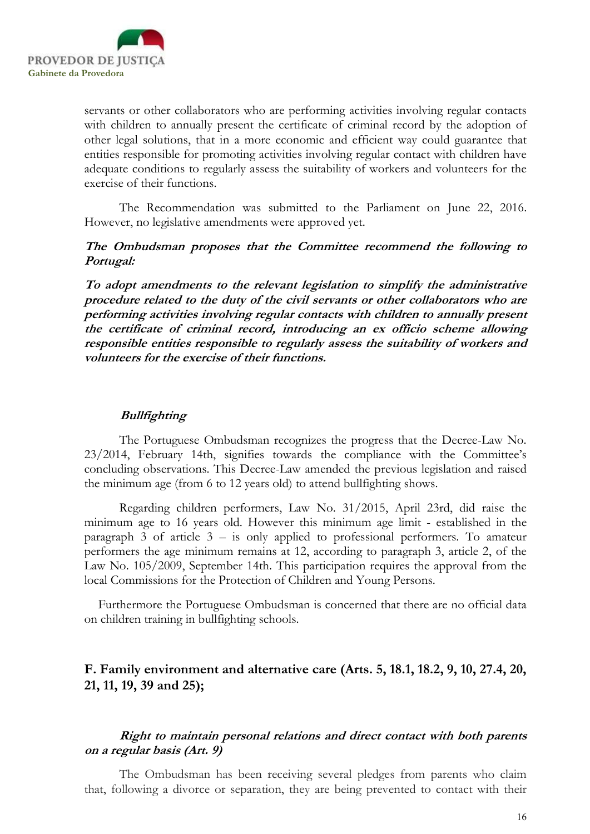

servants or other collaborators who are performing activities involving regular contacts with children to annually present the certificate of criminal record by the adoption of other legal solutions, that in a more economic and efficient way could guarantee that entities responsible for promoting activities involving regular contact with children have adequate conditions to regularly assess the suitability of workers and volunteers for the exercise of their functions.

The Recommendation was submitted to the Parliament on June 22, 2016. However, no legislative amendments were approved yet.

The Ombudsman proposes that the Committee recommend the following to Portugal:

To adopt amendments to the relevant legislation to simplify the administrative procedure related to the duty of the civil servants or other collaborators who are performing activities involving regular contacts with children to annually present the certificate of criminal record, introducing an ex officio scheme allowing responsible entities responsible to regularly assess the suitability of workers and volunteers for the exercise of their functions.

#### Bullfighting

The Portuguese Ombudsman recognizes the progress that the Decree-Law No. 23/2014, February 14th, signifies towards the compliance with the Committee's concluding observations. This Decree-Law amended the previous legislation and raised the minimum age (from 6 to 12 years old) to attend bullfighting shows.

Regarding children performers, Law No. 31/2015, April 23rd, did raise the minimum age to 16 years old. However this minimum age limit - established in the paragraph  $3$  of article  $3 -$  is only applied to professional performers. To amateur performers the age minimum remains at 12, according to paragraph 3, article 2, of the Law No. 105/2009, September 14th. This participation requires the approval from the local Commissions for the Protection of Children and Young Persons.

Furthermore the Portuguese Ombudsman is concerned that there are no official data on children training in bullfighting schools.

## F. Family environment and alternative care (Arts. 5, 18.1, 18.2, 9, 10, 27.4, 20, 21, 11, 19, 39 and 25);

### Right to maintain personal relations and direct contact with both parents on a regular basis (Art. 9)

The Ombudsman has been receiving several pledges from parents who claim that, following a divorce or separation, they are being prevented to contact with their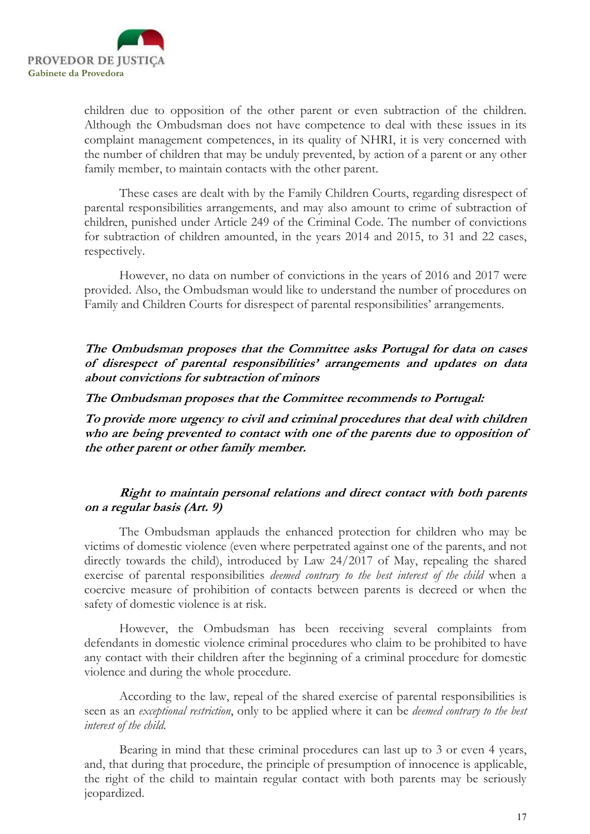

children due to opposition of the other parent or even subtraction of the children. Although the Ombudsman does not have competence to deal with these issues in its complaint management competences, in its quality of NHRI, it is very concerned with the number of children that may be unduly prevented, by action of a parent or any other family member, to maintain contacts with the other parent.

These cases are dealt with by the Family Children Courts, regarding disrespect of parental responsibilities arrangements, and may also amount to crime of subtraction of children, punished under Article 249 of the Criminal Code. The number of convictions for subtraction of children amounted, in the years 2014 and 2015, to 31 and 22 cases, respectively.

However, no data on number of convictions in the years of 2016 and 2017 were provided. Also, the Ombudsman would like to understand the number of procedures on Family and Children Courts for disrespect of parental responsibilities' arrangements.

The Ombudsman proposes that the Committee asks Portugal for data on cases of disrespect of parental responsibilities' arrangements and updates on data about convictions for subtraction of minors

The Ombudsman proposes that the Committee recommends to Portugal:

To provide more urgency to civil and criminal procedures that deal with children who are being prevented to contact with one of the parents due to opposition of the other parent or other family member.

## Right to maintain personal relations and direct contact with both parents on a regular basis (Art. 9)

The Ombudsman applauds the enhanced protection for children who may be victims of domestic violence (even where perpetrated against one of the parents, and not directly towards the child), introduced by Law 24/2017 of May, repealing the shared exercise of parental responsibilities *deemed contrary to the best interest of the child* when a coercive measure of prohibition of contacts between parents is decreed or when the safety of domestic violence is at risk.

However, the Ombudsman has been receiving several complaints from defendants in domestic violence criminal procedures who claim to be prohibited to have any contact with their children after the beginning of a criminal procedure for domestic violence and during the whole procedure.

According to the law, repeal of the shared exercise of parental responsibilities is seen as an *exceptional restriction*, only to be applied where it can be *deemed contrary to the best* interest of the child.

Bearing in mind that these criminal procedures can last up to 3 or even 4 years, and, that during that procedure, the principle of presumption of innocence is applicable, the right of the child to maintain regular contact with both parents may be seriously jeopardized.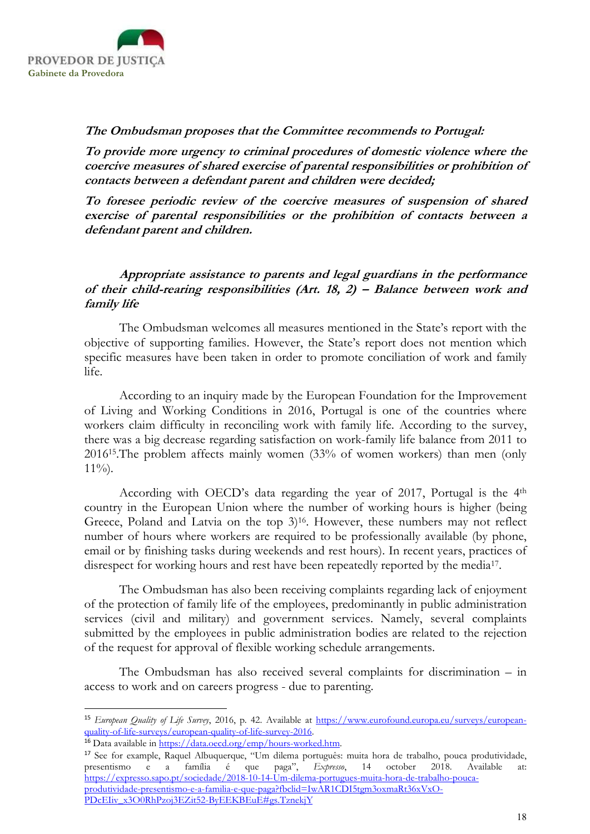

## The Ombudsman proposes that the Committee recommends to Portugal:

To provide more urgency to criminal procedures of domestic violence where the coercive measures of shared exercise of parental responsibilities or prohibition of contacts between a defendant parent and children were decided;

To foresee periodic review of the coercive measures of suspension of shared exercise of parental responsibilities or the prohibition of contacts between a defendant parent and children.

## Appropriate assistance to parents and legal guardians in the performance of their child-rearing responsibilities (Art. 18, 2) – Balance between work and family life

The Ombudsman welcomes all measures mentioned in the State's report with the objective of supporting families. However, the State's report does not mention which specific measures have been taken in order to promote conciliation of work and family life.

According to an inquiry made by the European Foundation for the Improvement of Living and Working Conditions in 2016, Portugal is one of the countries where workers claim difficulty in reconciling work with family life. According to the survey, there was a big decrease regarding satisfaction on work-family life balance from 2011 to 201615.The problem affects mainly women (33% of women workers) than men (only  $11\%$ ).

According with OECD's data regarding the year of 2017, Portugal is the 4th country in the European Union where the number of working hours is higher (being Greece, Poland and Latvia on the top 3)<sup>16</sup>. However, these numbers may not reflect number of hours where workers are required to be professionally available (by phone, email or by finishing tasks during weekends and rest hours). In recent years, practices of disrespect for working hours and rest have been repeatedly reported by the media<sup>17</sup>.

The Ombudsman has also been receiving complaints regarding lack of enjoyment of the protection of family life of the employees, predominantly in public administration services (civil and military) and government services. Namely, several complaints submitted by the employees in public administration bodies are related to the rejection of the request for approval of flexible working schedule arrangements.

The Ombudsman has also received several complaints for discrimination – in access to work and on careers progress - due to parenting.

<sup>&</sup>lt;sup>15</sup> European Quality of Life Survey, 2016, p. 42. Available at https://www.eurofound.europa.eu/surveys/europeanquality-of-life-surveys/european-quality-of-life-survey-2016.

<sup>&</sup>lt;sup>16</sup> Data available in https://data.oecd.org/emp/hours-worked.htm.

<sup>17</sup> See for example, Raquel Albuquerque, "Um dilema português: muita hora de trabalho, pouca produtividade, presentismo e a família é que paga", Expresso, 14 october 2018. Available at: https://expresso.sapo.pt/sociedade/2018-10-14-Um-dilema-portugues-muita-hora-de-trabalho-poucaprodutividade-presentismo-e-a-familia-e-que-paga?fbclid=IwAR1CDI5tgm3oxmaRt36xVxO-PDcEIiv\_x3O0RhPzoj3EZit52-ByEEKBEuE#gs.TznekjY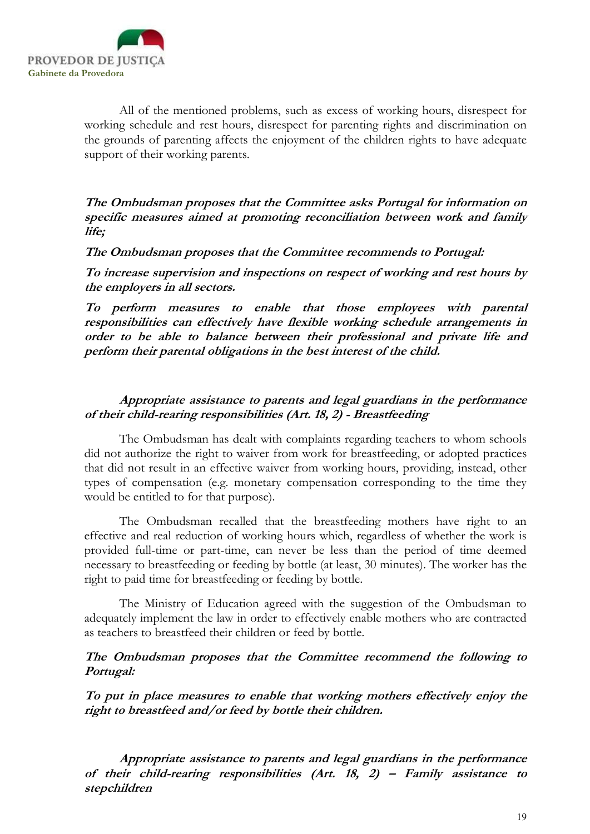

All of the mentioned problems, such as excess of working hours, disrespect for working schedule and rest hours, disrespect for parenting rights and discrimination on the grounds of parenting affects the enjoyment of the children rights to have adequate support of their working parents.

The Ombudsman proposes that the Committee asks Portugal for information on specific measures aimed at promoting reconciliation between work and family life;

The Ombudsman proposes that the Committee recommends to Portugal:

To increase supervision and inspections on respect of working and rest hours by the employers in all sectors.

To perform measures to enable that those employees with parental responsibilities can effectively have flexible working schedule arrangements in order to be able to balance between their professional and private life and perform their parental obligations in the best interest of the child.

## Appropriate assistance to parents and legal guardians in the performance of their child-rearing responsibilities (Art. 18, 2) - Breastfeeding

The Ombudsman has dealt with complaints regarding teachers to whom schools did not authorize the right to waiver from work for breastfeeding, or adopted practices that did not result in an effective waiver from working hours, providing, instead, other types of compensation (e.g. monetary compensation corresponding to the time they would be entitled to for that purpose).

The Ombudsman recalled that the breastfeeding mothers have right to an effective and real reduction of working hours which, regardless of whether the work is provided full-time or part-time, can never be less than the period of time deemed necessary to breastfeeding or feeding by bottle (at least, 30 minutes). The worker has the right to paid time for breastfeeding or feeding by bottle.

The Ministry of Education agreed with the suggestion of the Ombudsman to adequately implement the law in order to effectively enable mothers who are contracted as teachers to breastfeed their children or feed by bottle.

#### The Ombudsman proposes that the Committee recommend the following to Portugal:

To put in place measures to enable that working mothers effectively enjoy the right to breastfeed and/or feed by bottle their children.

Appropriate assistance to parents and legal guardians in the performance of their child-rearing responsibilities (Art. 18, 2) – Family assistance to stepchildren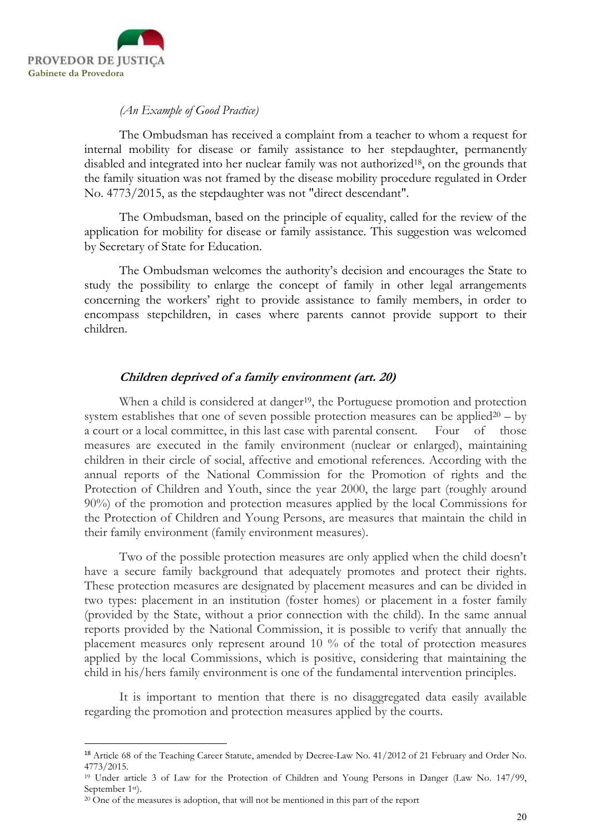

-

#### (An Example of Good Practice)

The Ombudsman has received a complaint from a teacher to whom a request for internal mobility for disease or family assistance to her stepdaughter, permanently disabled and integrated into her nuclear family was not authorized<sup>18</sup>, on the grounds that the family situation was not framed by the disease mobility procedure regulated in Order No. 4773/2015, as the stepdaughter was not "direct descendant".

The Ombudsman, based on the principle of equality, called for the review of the application for mobility for disease or family assistance. This suggestion was welcomed by Secretary of State for Education.

The Ombudsman welcomes the authority's decision and encourages the State to study the possibility to enlarge the concept of family in other legal arrangements concerning the workers' right to provide assistance to family members, in order to encompass stepchildren, in cases where parents cannot provide support to their children.

## Children deprived of a family environment (art. 20)

When a child is considered at danger<sup>19</sup>, the Portuguese promotion and protection system establishes that one of seven possible protection measures can be applied<sup>20</sup> – by a court or a local committee, in this last case with parental consent. Four of those measures are executed in the family environment (nuclear or enlarged), maintaining children in their circle of social, affective and emotional references. According with the annual reports of the National Commission for the Promotion of rights and the Protection of Children and Youth, since the year 2000, the large part (roughly around 90%) of the promotion and protection measures applied by the local Commissions for the Protection of Children and Young Persons, are measures that maintain the child in their family environment (family environment measures).

Two of the possible protection measures are only applied when the child doesn't have a secure family background that adequately promotes and protect their rights. These protection measures are designated by placement measures and can be divided in two types: placement in an institution (foster homes) or placement in a foster family (provided by the State, without a prior connection with the child). In the same annual reports provided by the National Commission, it is possible to verify that annually the placement measures only represent around 10 % of the total of protection measures applied by the local Commissions, which is positive, considering that maintaining the child in his/hers family environment is one of the fundamental intervention principles.

It is important to mention that there is no disaggregated data easily available regarding the promotion and protection measures applied by the courts.

<sup>18</sup> Article 68 of the Teaching Career Statute, amended by Decree-Law No. 41/2012 of 21 February and Order No. 4773/2015.

<sup>19</sup> Under article 3 of Law for the Protection of Children and Young Persons in Danger (Law No. 147/99, September 1st).

<sup>&</sup>lt;sup>20</sup> One of the measures is adoption, that will not be mentioned in this part of the report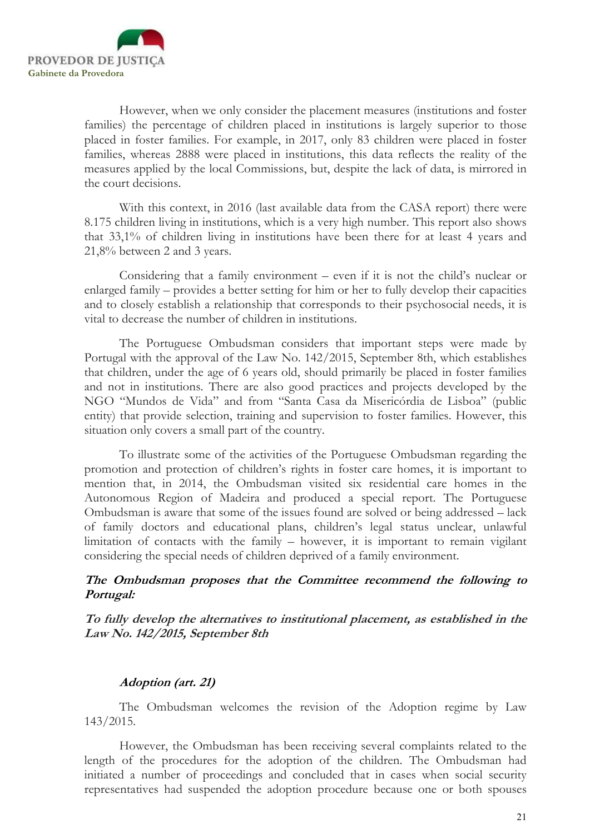

However, when we only consider the placement measures (institutions and foster families) the percentage of children placed in institutions is largely superior to those placed in foster families. For example, in 2017, only 83 children were placed in foster families, whereas 2888 were placed in institutions, this data reflects the reality of the measures applied by the local Commissions, but, despite the lack of data, is mirrored in the court decisions.

With this context, in 2016 (last available data from the CASA report) there were 8.175 children living in institutions, which is a very high number. This report also shows that 33,1% of children living in institutions have been there for at least 4 years and 21,8% between 2 and 3 years.

Considering that a family environment – even if it is not the child's nuclear or enlarged family – provides a better setting for him or her to fully develop their capacities and to closely establish a relationship that corresponds to their psychosocial needs, it is vital to decrease the number of children in institutions.

The Portuguese Ombudsman considers that important steps were made by Portugal with the approval of the Law No. 142/2015, September 8th, which establishes that children, under the age of 6 years old, should primarily be placed in foster families and not in institutions. There are also good practices and projects developed by the NGO "Mundos de Vida" and from "Santa Casa da Misericórdia de Lisboa" (public entity) that provide selection, training and supervision to foster families. However, this situation only covers a small part of the country.

To illustrate some of the activities of the Portuguese Ombudsman regarding the promotion and protection of children's rights in foster care homes, it is important to mention that, in 2014, the Ombudsman visited six residential care homes in the Autonomous Region of Madeira and produced a special report. The Portuguese Ombudsman is aware that some of the issues found are solved or being addressed – lack of family doctors and educational plans, children's legal status unclear, unlawful limitation of contacts with the family – however, it is important to remain vigilant considering the special needs of children deprived of a family environment.

## The Ombudsman proposes that the Committee recommend the following to Portugal:

## To fully develop the alternatives to institutional placement, as established in the Law No. 142/2015, September 8th

## Adoption (art. 21)

The Ombudsman welcomes the revision of the Adoption regime by Law 143/2015.

However, the Ombudsman has been receiving several complaints related to the length of the procedures for the adoption of the children. The Ombudsman had initiated a number of proceedings and concluded that in cases when social security representatives had suspended the adoption procedure because one or both spouses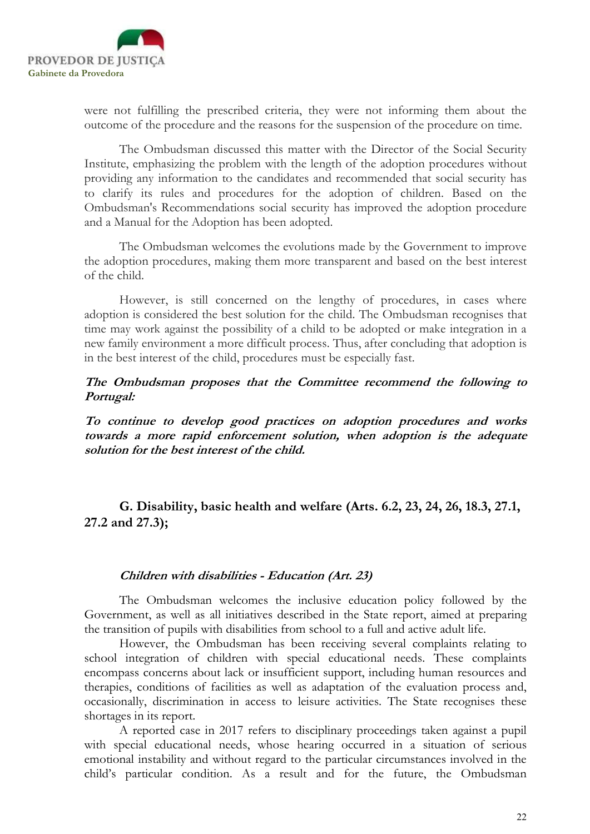

were not fulfilling the prescribed criteria, they were not informing them about the outcome of the procedure and the reasons for the suspension of the procedure on time.

 The Ombudsman discussed this matter with the Director of the Social Security Institute, emphasizing the problem with the length of the adoption procedures without providing any information to the candidates and recommended that social security has to clarify its rules and procedures for the adoption of children. Based on the Ombudsman's Recommendations social security has improved the adoption procedure and a Manual for the Adoption has been adopted.

 The Ombudsman welcomes the evolutions made by the Government to improve the adoption procedures, making them more transparent and based on the best interest of the child.

 However, is still concerned on the lengthy of procedures, in cases where adoption is considered the best solution for the child. The Ombudsman recognises that time may work against the possibility of a child to be adopted or make integration in a new family environment a more difficult process. Thus, after concluding that adoption is in the best interest of the child, procedures must be especially fast.

The Ombudsman proposes that the Committee recommend the following to Portugal:

To continue to develop good practices on adoption procedures and works towards a more rapid enforcement solution, when adoption is the adequate solution for the best interest of the child.

G. Disability, basic health and welfare (Arts. 6.2, 23, 24, 26, 18.3, 27.1, 27.2 and 27.3);

#### Children with disabilities - Education (Art. 23)

The Ombudsman welcomes the inclusive education policy followed by the Government, as well as all initiatives described in the State report, aimed at preparing the transition of pupils with disabilities from school to a full and active adult life.

However, the Ombudsman has been receiving several complaints relating to school integration of children with special educational needs. These complaints encompass concerns about lack or insufficient support, including human resources and therapies, conditions of facilities as well as adaptation of the evaluation process and, occasionally, discrimination in access to leisure activities. The State recognises these shortages in its report.

A reported case in 2017 refers to disciplinary proceedings taken against a pupil with special educational needs, whose hearing occurred in a situation of serious emotional instability and without regard to the particular circumstances involved in the child's particular condition. As a result and for the future, the Ombudsman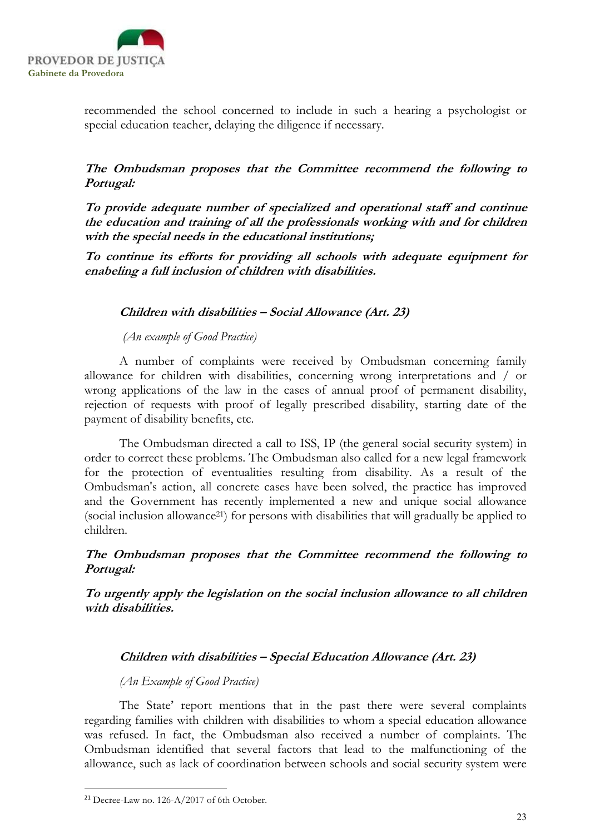

recommended the school concerned to include in such a hearing a psychologist or special education teacher, delaying the diligence if necessary.

The Ombudsman proposes that the Committee recommend the following to Portugal:

To provide adequate number of specialized and operational staff and continue the education and training of all the professionals working with and for children with the special needs in the educational institutions;

To continue its efforts for providing all schools with adequate equipment for enabeling a full inclusion of children with disabilities.

## Children with disabilities – Social Allowance (Art. 23)

(An example of Good Practice)

A number of complaints were received by Ombudsman concerning family allowance for children with disabilities, concerning wrong interpretations and / or wrong applications of the law in the cases of annual proof of permanent disability, rejection of requests with proof of legally prescribed disability, starting date of the payment of disability benefits, etc.

The Ombudsman directed a call to ISS, IP (the general social security system) in order to correct these problems. The Ombudsman also called for a new legal framework for the protection of eventualities resulting from disability. As a result of the Ombudsman's action, all concrete cases have been solved, the practice has improved and the Government has recently implemented a new and unique social allowance (social inclusion allowance21) for persons with disabilities that will gradually be applied to children.

The Ombudsman proposes that the Committee recommend the following to Portugal:

To urgently apply the legislation on the social inclusion allowance to all children with disabilities.

## Children with disabilities – Special Education Allowance (Art. 23)

## (An Example of Good Practice)

The State' report mentions that in the past there were several complaints regarding families with children with disabilities to whom a special education allowance was refused. In fact, the Ombudsman also received a number of complaints. The Ombudsman identified that several factors that lead to the malfunctioning of the allowance, such as lack of coordination between schools and social security system were

<sup>21</sup> Decree-Law no. 126-A/2017 of 6th October.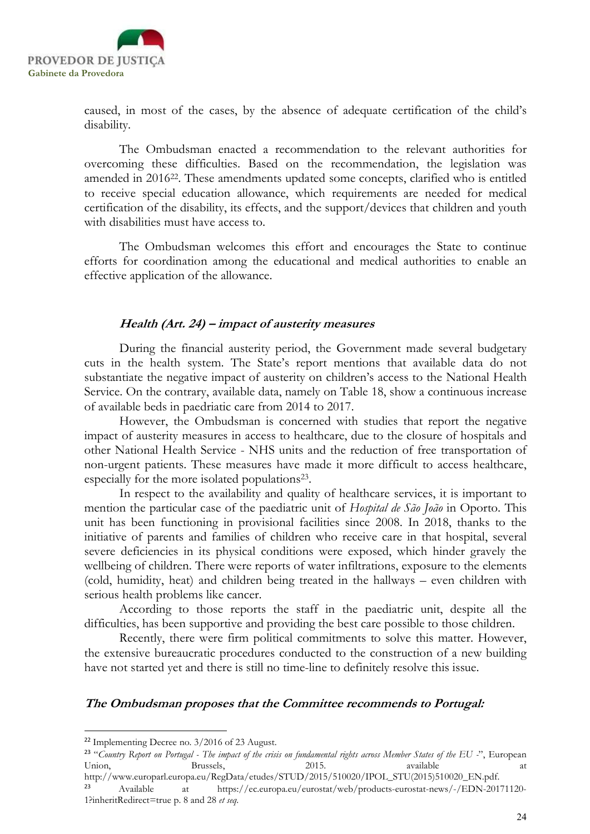

caused, in most of the cases, by the absence of adequate certification of the child's disability.

The Ombudsman enacted a recommendation to the relevant authorities for overcoming these difficulties. Based on the recommendation, the legislation was amended in 201622. These amendments updated some concepts, clarified who is entitled to receive special education allowance, which requirements are needed for medical certification of the disability, its effects, and the support/devices that children and youth with disabilities must have access to.

The Ombudsman welcomes this effort and encourages the State to continue efforts for coordination among the educational and medical authorities to enable an effective application of the allowance.

#### Health (Art. 24) – impact of austerity measures

During the financial austerity period, the Government made several budgetary cuts in the health system. The State's report mentions that available data do not substantiate the negative impact of austerity on children's access to the National Health Service. On the contrary, available data, namely on Table 18, show a continuous increase of available beds in paedriatic care from 2014 to 2017.

However, the Ombudsman is concerned with studies that report the negative impact of austerity measures in access to healthcare, due to the closure of hospitals and other National Health Service - NHS units and the reduction of free transportation of non-urgent patients. These measures have made it more difficult to access healthcare, especially for the more isolated populations<sup>23</sup>.

 In respect to the availability and quality of healthcare services, it is important to mention the particular case of the paediatric unit of Hospital de São João in Oporto. This unit has been functioning in provisional facilities since 2008. In 2018, thanks to the initiative of parents and families of children who receive care in that hospital, several severe deficiencies in its physical conditions were exposed, which hinder gravely the wellbeing of children. There were reports of water infiltrations, exposure to the elements (cold, humidity, heat) and children being treated in the hallways – even children with serious health problems like cancer.

 According to those reports the staff in the paediatric unit, despite all the difficulties, has been supportive and providing the best care possible to those children.

 Recently, there were firm political commitments to solve this matter. However, the extensive bureaucratic procedures conducted to the construction of a new building have not started yet and there is still no time-line to definitely resolve this issue.

#### The Ombudsman proposes that the Committee recommends to Portugal:

<sup>22</sup> Implementing Decree no. 3/2016 of 23 August.

<sup>&</sup>lt;sup>23</sup> "Country Report on Portugal - The impact of the crisis on fundamental rights across Member States of the EU -", European Union, Brussels, 2015. available at the at

http://www.europarl.europa.eu/RegData/etudes/STUD/2015/510020/IPOL\_STU(2015)510020\_EN.pdf. <sup>23</sup> Available at https://ec.europa.eu/eurostat/web/products-eurostat-news/-/EDN-20171120- 1?inheritRedirect=true p. 8 and 28 et seq.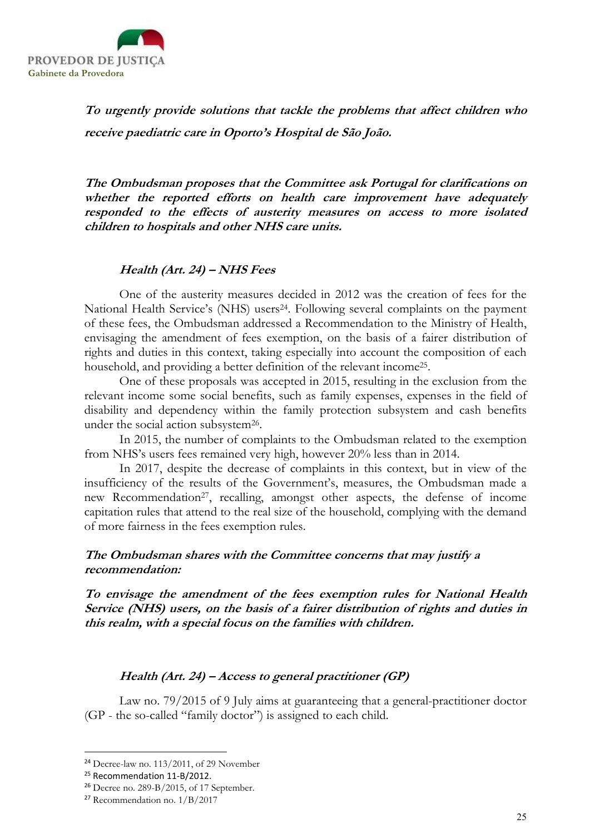

To urgently provide solutions that tackle the problems that affect children who receive paediatric care in Oporto's Hospital de São João.

The Ombudsman proposes that the Committee ask Portugal for clarifications on whether the reported efforts on health care improvement have adequately responded to the effects of austerity measures on access to more isolated children to hospitals and other NHS care units.

#### Health (Art. 24) – NHS Fees

One of the austerity measures decided in 2012 was the creation of fees for the National Health Service's (NHS) users<sup>24</sup>. Following several complaints on the payment of these fees, the Ombudsman addressed a Recommendation to the Ministry of Health, envisaging the amendment of fees exemption, on the basis of a fairer distribution of rights and duties in this context, taking especially into account the composition of each household, and providing a better definition of the relevant income<sup>25</sup> .

One of these proposals was accepted in 2015, resulting in the exclusion from the relevant income some social benefits, such as family expenses, expenses in the field of disability and dependency within the family protection subsystem and cash benefits under the social action subsystem<sup>26</sup>.

In 2015, the number of complaints to the Ombudsman related to the exemption from NHS's users fees remained very high, however 20% less than in 2014.

In 2017, despite the decrease of complaints in this context, but in view of the insufficiency of the results of the Government's, measures, the Ombudsman made a new Recommendation<sup>27</sup>, recalling, amongst other aspects, the defense of income capitation rules that attend to the real size of the household, complying with the demand of more fairness in the fees exemption rules.

## The Ombudsman shares with the Committee concerns that may justify a recommendation:

To envisage the amendment of the fees exemption rules for National Health Service (NHS) users, on the basis of a fairer distribution of rights and duties in this realm, with a special focus on the families with children.

## Health (Art. 24) – Access to general practitioner (GP)

Law no. 79/2015 of 9 July aims at guaranteeing that a general-practitioner doctor (GP - the so-called "family doctor") is assigned to each child.

<sup>24</sup> Decree-law no. 113/2011, of 29 November

<sup>&</sup>lt;sup>25</sup> Recommendation 11-B/2012.

<sup>26</sup> Decree no. 289-B/2015, of 17 September.

<sup>27</sup> Recommendation no. 1/B/2017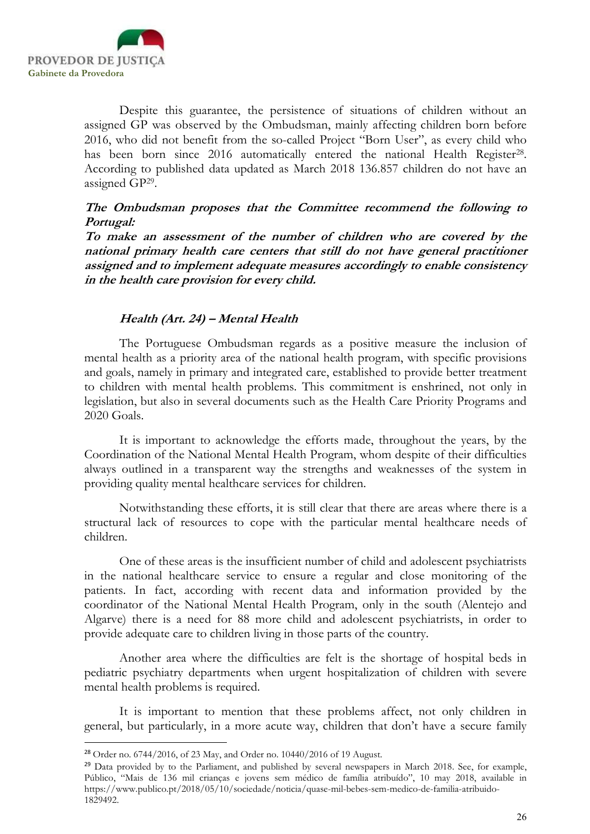

-

Despite this guarantee, the persistence of situations of children without an assigned GP was observed by the Ombudsman, mainly affecting children born before 2016, who did not benefit from the so-called Project "Born User", as every child who has been born since 2016 automatically entered the national Health Register<sup>28</sup>. According to published data updated as March 2018 136.857 children do not have an assigned GP<sup>29</sup> .

## The Ombudsman proposes that the Committee recommend the following to Portugal:

To make an assessment of the number of children who are covered by the national primary health care centers that still do not have general practitioner assigned and to implement adequate measures accordingly to enable consistency in the health care provision for every child.

## Health (Art. 24) – Mental Health

The Portuguese Ombudsman regards as a positive measure the inclusion of mental health as a priority area of the national health program, with specific provisions and goals, namely in primary and integrated care, established to provide better treatment to children with mental health problems. This commitment is enshrined, not only in legislation, but also in several documents such as the Health Care Priority Programs and 2020 Goals.

It is important to acknowledge the efforts made, throughout the years, by the Coordination of the National Mental Health Program, whom despite of their difficulties always outlined in a transparent way the strengths and weaknesses of the system in providing quality mental healthcare services for children.

Notwithstanding these efforts, it is still clear that there are areas where there is a structural lack of resources to cope with the particular mental healthcare needs of children.

One of these areas is the insufficient number of child and adolescent psychiatrists in the national healthcare service to ensure a regular and close monitoring of the patients. In fact, according with recent data and information provided by the coordinator of the National Mental Health Program, only in the south (Alentejo and Algarve) there is a need for 88 more child and adolescent psychiatrists, in order to provide adequate care to children living in those parts of the country.

Another area where the difficulties are felt is the shortage of hospital beds in pediatric psychiatry departments when urgent hospitalization of children with severe mental health problems is required.

It is important to mention that these problems affect, not only children in general, but particularly, in a more acute way, children that don't have a secure family

<sup>28</sup> Order no. 6744/2016, of 23 May, and Order no. 10440/2016 of 19 August.

<sup>&</sup>lt;sup>29</sup> Data provided by to the Parliament, and published by several newspapers in March 2018. See, for example, Público, "Mais de 136 mil crianças e jovens sem médico de família atribuído", 10 may 2018, available in https://www.publico.pt/2018/05/10/sociedade/noticia/quase-mil-bebes-sem-medico-de-familia-atribuido-1829492.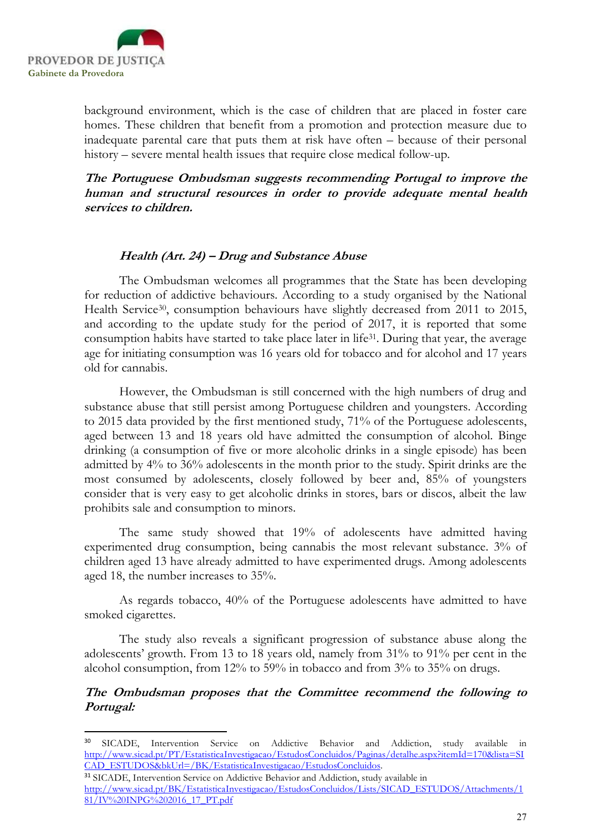

-

background environment, which is the case of children that are placed in foster care homes. These children that benefit from a promotion and protection measure due to inadequate parental care that puts them at risk have often – because of their personal history – severe mental health issues that require close medical follow-up.

The Portuguese Ombudsman suggests recommending Portugal to improve the human and structural resources in order to provide adequate mental health services to children.

## Health (Art. 24) – Drug and Substance Abuse

The Ombudsman welcomes all programmes that the State has been developing for reduction of addictive behaviours. According to a study organised by the National Health Service<sup>30</sup>, consumption behaviours have slightly decreased from 2011 to 2015, and according to the update study for the period of 2017, it is reported that some consumption habits have started to take place later in life<sup>31</sup>. During that year, the average age for initiating consumption was 16 years old for tobacco and for alcohol and 17 years old for cannabis.

However, the Ombudsman is still concerned with the high numbers of drug and substance abuse that still persist among Portuguese children and youngsters. According to 2015 data provided by the first mentioned study, 71% of the Portuguese adolescents, aged between 13 and 18 years old have admitted the consumption of alcohol. Binge drinking (a consumption of five or more alcoholic drinks in a single episode) has been admitted by 4% to 36% adolescents in the month prior to the study. Spirit drinks are the most consumed by adolescents, closely followed by beer and, 85% of youngsters consider that is very easy to get alcoholic drinks in stores, bars or discos, albeit the law prohibits sale and consumption to minors.

 The same study showed that 19% of adolescents have admitted having experimented drug consumption, being cannabis the most relevant substance. 3% of children aged 13 have already admitted to have experimented drugs. Among adolescents aged 18, the number increases to 35%.

 As regards tobacco, 40% of the Portuguese adolescents have admitted to have smoked cigarettes.

The study also reveals a significant progression of substance abuse along the adolescents' growth. From 13 to 18 years old, namely from 31% to 91% per cent in the alcohol consumption, from 12% to 59% in tobacco and from 3% to 35% on drugs.

The Ombudsman proposes that the Committee recommend the following to Portugal:

<sup>30</sup> SICADE, Intervention Service on Addictive Behavior and Addiction, study available in http://www.sicad.pt/PT/EstatisticaInvestigacao/EstudosConcluidos/Paginas/detalhe.aspx?itemId=170&lista=SI CAD\_ESTUDOS&bkUrl=/BK/EstatisticaInvestigacao/EstudosConcluidos.

<sup>&</sup>lt;sup>31</sup> SICADE, Intervention Service on Addictive Behavior and Addiction, study available in http://www.sicad.pt/BK/EstatisticaInvestigacao/EstudosConcluidos/Lists/SICAD\_ESTUDOS/Attachments/1 81/IV%20INPG%202016\_17\_PT.pdf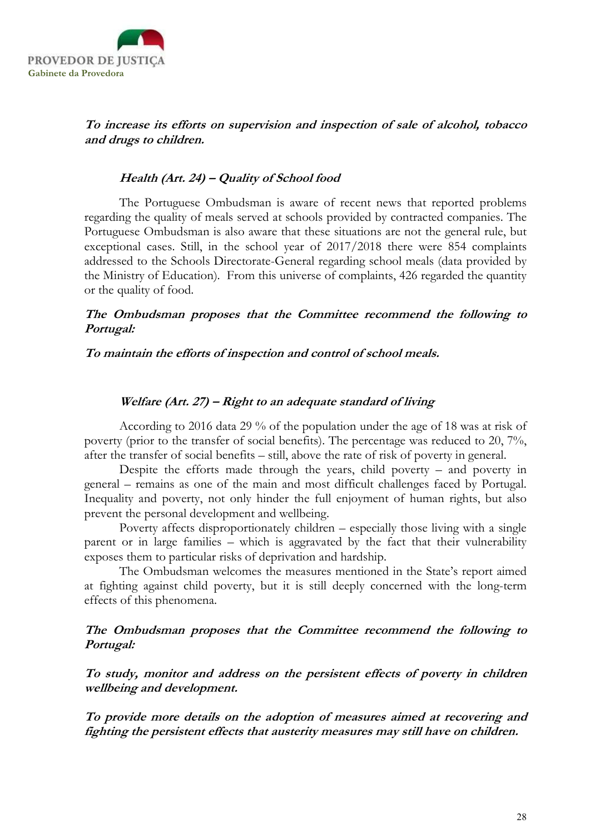

## To increase its efforts on supervision and inspection of sale of alcohol, tobacco and drugs to children.

### Health (Art. 24) – Quality of School food

The Portuguese Ombudsman is aware of recent news that reported problems regarding the quality of meals served at schools provided by contracted companies. The Portuguese Ombudsman is also aware that these situations are not the general rule, but exceptional cases. Still, in the school year of 2017/2018 there were 854 complaints addressed to the Schools Directorate-General regarding school meals (data provided by the Ministry of Education). From this universe of complaints, 426 regarded the quantity or the quality of food.

## The Ombudsman proposes that the Committee recommend the following to Portugal:

#### To maintain the efforts of inspection and control of school meals.

#### Welfare (Art. 27) – Right to an adequate standard of living

According to 2016 data 29 % of the population under the age of 18 was at risk of poverty (prior to the transfer of social benefits). The percentage was reduced to 20, 7%, after the transfer of social benefits – still, above the rate of risk of poverty in general.

Despite the efforts made through the years, child poverty – and poverty in general – remains as one of the main and most difficult challenges faced by Portugal. Inequality and poverty, not only hinder the full enjoyment of human rights, but also prevent the personal development and wellbeing.

Poverty affects disproportionately children – especially those living with a single parent or in large families – which is aggravated by the fact that their vulnerability exposes them to particular risks of deprivation and hardship.

The Ombudsman welcomes the measures mentioned in the State's report aimed at fighting against child poverty, but it is still deeply concerned with the long-term effects of this phenomena.

## The Ombudsman proposes that the Committee recommend the following to Portugal:

To study, monitor and address on the persistent effects of poverty in children wellbeing and development.

To provide more details on the adoption of measures aimed at recovering and fighting the persistent effects that austerity measures may still have on children.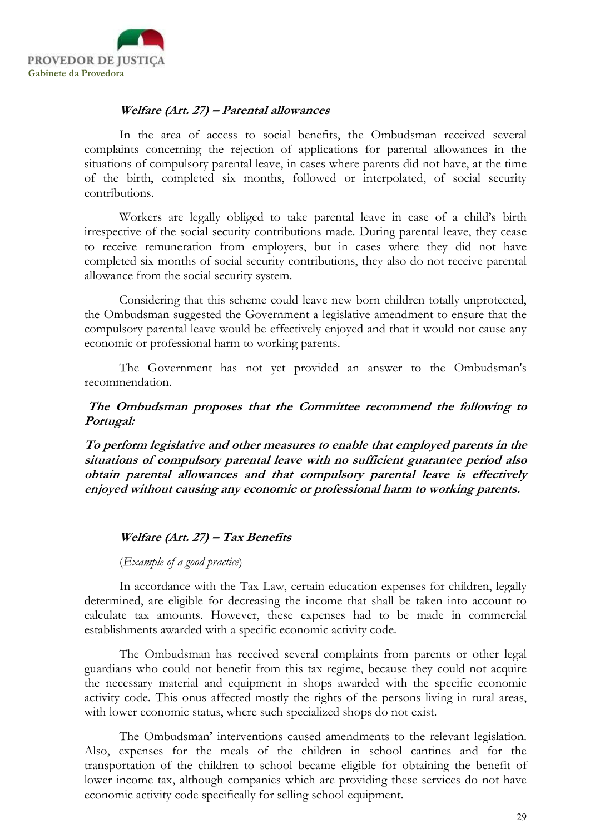

## Welfare (Art. 27) – Parental allowances

In the area of access to social benefits, the Ombudsman received several complaints concerning the rejection of applications for parental allowances in the situations of compulsory parental leave, in cases where parents did not have, at the time of the birth, completed six months, followed or interpolated, of social security contributions.

Workers are legally obliged to take parental leave in case of a child's birth irrespective of the social security contributions made. During parental leave, they cease to receive remuneration from employers, but in cases where they did not have completed six months of social security contributions, they also do not receive parental allowance from the social security system.

Considering that this scheme could leave new-born children totally unprotected, the Ombudsman suggested the Government a legislative amendment to ensure that the compulsory parental leave would be effectively enjoyed and that it would not cause any economic or professional harm to working parents.

The Government has not yet provided an answer to the Ombudsman's recommendation.

 The Ombudsman proposes that the Committee recommend the following to Portugal:

To perform legislative and other measures to enable that employed parents in the situations of compulsory parental leave with no sufficient guarantee period also obtain parental allowances and that compulsory parental leave is effectively enjoyed without causing any economic or professional harm to working parents.

## Welfare (Art. 27) – Tax Benefits

(Example of a good practice)

In accordance with the Tax Law, certain education expenses for children, legally determined, are eligible for decreasing the income that shall be taken into account to calculate tax amounts. However, these expenses had to be made in commercial establishments awarded with a specific economic activity code.

The Ombudsman has received several complaints from parents or other legal guardians who could not benefit from this tax regime, because they could not acquire the necessary material and equipment in shops awarded with the specific economic activity code. This onus affected mostly the rights of the persons living in rural areas, with lower economic status, where such specialized shops do not exist.

The Ombudsman' interventions caused amendments to the relevant legislation. Also, expenses for the meals of the children in school cantines and for the transportation of the children to school became eligible for obtaining the benefit of lower income tax, although companies which are providing these services do not have economic activity code specifically for selling school equipment.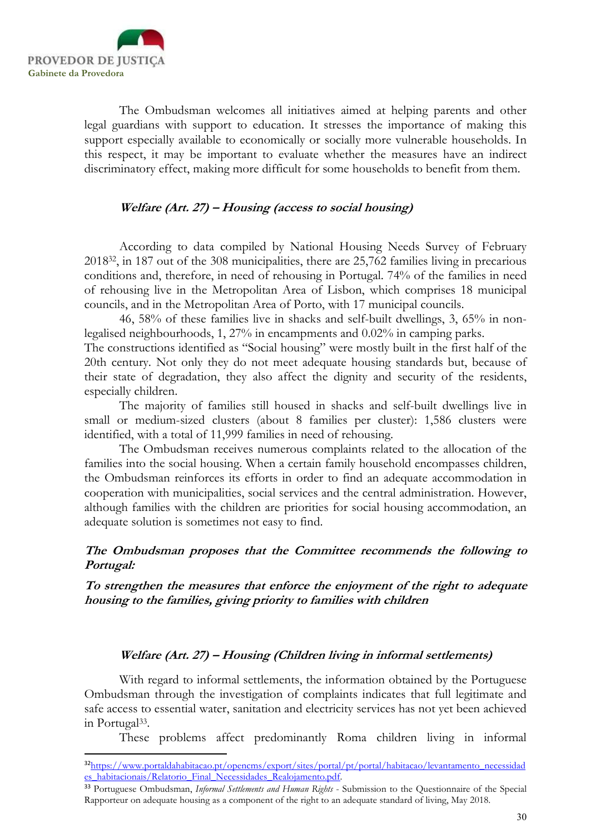

-

The Ombudsman welcomes all initiatives aimed at helping parents and other legal guardians with support to education. It stresses the importance of making this support especially available to economically or socially more vulnerable households. In this respect, it may be important to evaluate whether the measures have an indirect discriminatory effect, making more difficult for some households to benefit from them.

## Welfare (Art. 27) – Housing (access to social housing)

According to data compiled by National Housing Needs Survey of February 201832, in 187 out of the 308 municipalities, there are 25,762 families living in precarious conditions and, therefore, in need of rehousing in Portugal. 74% of the families in need of rehousing live in the Metropolitan Area of Lisbon, which comprises 18 municipal councils, and in the Metropolitan Area of Porto, with 17 municipal councils.

46, 58% of these families live in shacks and self-built dwellings, 3, 65% in nonlegalised neighbourhoods, 1, 27% in encampments and 0.02% in camping parks.

The constructions identified as "Social housing" were mostly built in the first half of the 20th century. Not only they do not meet adequate housing standards but, because of their state of degradation, they also affect the dignity and security of the residents, especially children.

 The majority of families still housed in shacks and self-built dwellings live in small or medium-sized clusters (about 8 families per cluster): 1,586 clusters were identified, with a total of 11,999 families in need of rehousing.

The Ombudsman receives numerous complaints related to the allocation of the families into the social housing. When a certain family household encompasses children, the Ombudsman reinforces its efforts in order to find an adequate accommodation in cooperation with municipalities, social services and the central administration. However, although families with the children are priorities for social housing accommodation, an adequate solution is sometimes not easy to find.

## The Ombudsman proposes that the Committee recommends the following to Portugal:

To strengthen the measures that enforce the enjoyment of the right to adequate housing to the families, giving priority to families with children

#### Welfare (Art. 27) – Housing (Children living in informal settlements)

 With regard to informal settlements, the information obtained by the Portuguese Ombudsman through the investigation of complaints indicates that full legitimate and safe access to essential water, sanitation and electricity services has not yet been achieved in Portugal<sup>33</sup>.

These problems affect predominantly Roma children living in informal

<sup>&</sup>lt;sup>32</sup>https://www.portaldahabitacao.pt/opencms/export/sites/portal/pt/portal/habitacao/levantamento\_necessidad es\_habitacionais/Relatorio\_Final\_Necessidades\_Realojamento.pdf.

<sup>&</sup>lt;sup>33</sup> Portuguese Ombudsman, Informal Settlements and Human Rights - Submission to the Questionnaire of the Special Rapporteur on adequate housing as a component of the right to an adequate standard of living, May 2018.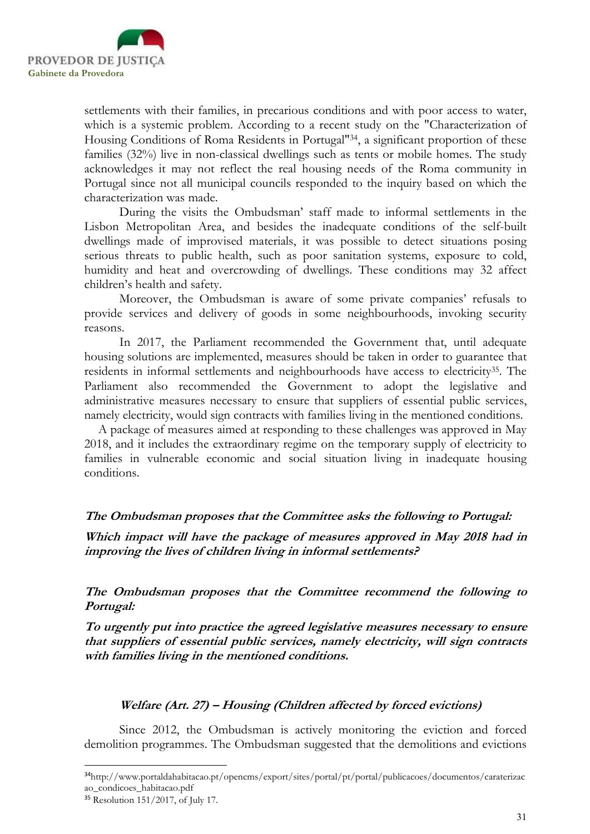

settlements with their families, in precarious conditions and with poor access to water, which is a systemic problem. According to a recent study on the "Characterization of Housing Conditions of Roma Residents in Portugal"34, a significant proportion of these families (32%) live in non-classical dwellings such as tents or mobile homes. The study acknowledges it may not reflect the real housing needs of the Roma community in Portugal since not all municipal councils responded to the inquiry based on which the characterization was made.

 During the visits the Ombudsman' staff made to informal settlements in the Lisbon Metropolitan Area, and besides the inadequate conditions of the self-built dwellings made of improvised materials, it was possible to detect situations posing serious threats to public health, such as poor sanitation systems, exposure to cold, humidity and heat and overcrowding of dwellings. These conditions may 32 affect children's health and safety.

 Moreover, the Ombudsman is aware of some private companies' refusals to provide services and delivery of goods in some neighbourhoods, invoking security reasons.

 In 2017, the Parliament recommended the Government that, until adequate housing solutions are implemented, measures should be taken in order to guarantee that residents in informal settlements and neighbourhoods have access to electricity<sup>35</sup>. The Parliament also recommended the Government to adopt the legislative and administrative measures necessary to ensure that suppliers of essential public services, namely electricity, would sign contracts with families living in the mentioned conditions.

 A package of measures aimed at responding to these challenges was approved in May 2018, and it includes the extraordinary regime on the temporary supply of electricity to families in vulnerable economic and social situation living in inadequate housing conditions.

## The Ombudsman proposes that the Committee asks the following to Portugal:

Which impact will have the package of measures approved in May 2018 had in improving the lives of children living in informal settlements?

The Ombudsman proposes that the Committee recommend the following to Portugal:

To urgently put into practice the agreed legislative measures necessary to ensure that suppliers of essential public services, namely electricity, will sign contracts with families living in the mentioned conditions.

#### Welfare (Art. 27) – Housing (Children affected by forced evictions)

Since 2012, the Ombudsman is actively monitoring the eviction and forced demolition programmes. The Ombudsman suggested that the demolitions and evictions

<sup>34</sup>http://www.portaldahabitacao.pt/opencms/export/sites/portal/pt/portal/publicacoes/documentos/caraterizac ao\_condicoes\_habitacao.pdf

<sup>35</sup> Resolution 151/2017, of July 17.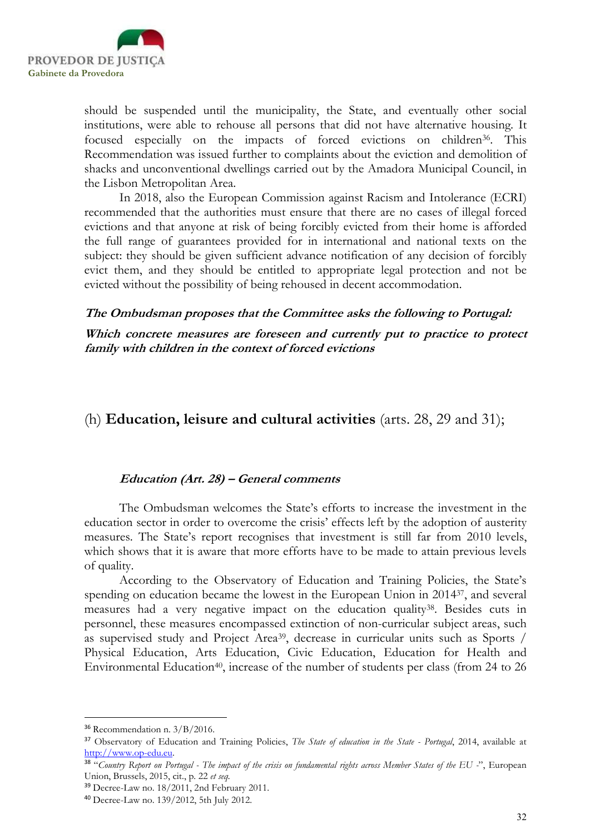

should be suspended until the municipality, the State, and eventually other social institutions, were able to rehouse all persons that did not have alternative housing. It focused especially on the impacts of forced evictions on children<sup>36</sup>. This Recommendation was issued further to complaints about the eviction and demolition of shacks and unconventional dwellings carried out by the Amadora Municipal Council, in the Lisbon Metropolitan Area.

In 2018, also the European Commission against Racism and Intolerance (ECRI) recommended that the authorities must ensure that there are no cases of illegal forced evictions and that anyone at risk of being forcibly evicted from their home is afforded the full range of guarantees provided for in international and national texts on the subject: they should be given sufficient advance notification of any decision of forcibly evict them, and they should be entitled to appropriate legal protection and not be evicted without the possibility of being rehoused in decent accommodation.

#### The Ombudsman proposes that the Committee asks the following to Portugal:

Which concrete measures are foreseen and currently put to practice to protect family with children in the context of forced evictions

## (h) Education, leisure and cultural activities (arts. 28, 29 and 31);

## Education (Art. 28) – General comments

The Ombudsman welcomes the State's efforts to increase the investment in the education sector in order to overcome the crisis' effects left by the adoption of austerity measures. The State's report recognises that investment is still far from 2010 levels, which shows that it is aware that more efforts have to be made to attain previous levels of quality.

According to the Observatory of Education and Training Policies, the State's spending on education became the lowest in the European Union in 201437, and several measures had a very negative impact on the education quality<sup>38</sup>. Besides cuts in personnel, these measures encompassed extinction of non-curricular subject areas, such as supervised study and Project Area39, decrease in curricular units such as Sports / Physical Education, Arts Education, Civic Education, Education for Health and Environmental Education<sup>40</sup>, increase of the number of students per class (from 24 to 26

<sup>36</sup> Recommendation n. 3/B/2016.

<sup>&</sup>lt;sup>37</sup> Observatory of Education and Training Policies, The State of education in the State - Portugal, 2014, available at http://www.op-edu.eu.

<sup>&</sup>lt;sup>38</sup> "Country Report on Portugal - The impact of the crisis on fundamental rights across Member States of the EU -", European Union, Brussels, 2015, cit., p. 22 et seq.

<sup>39</sup> Decree-Law no. 18/2011, 2nd February 2011.

<sup>40</sup> Decree-Law no. 139/2012, 5th July 2012.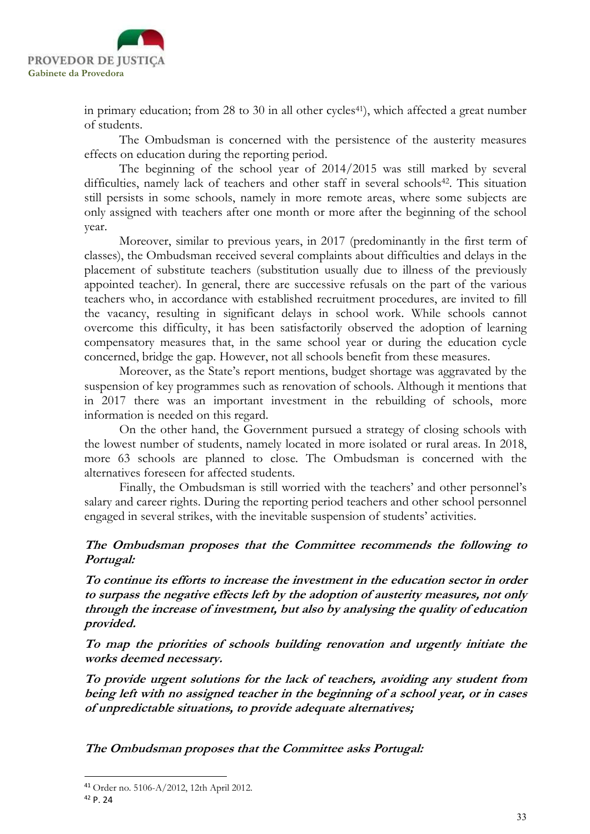

in primary education; from  $28$  to  $30$  in all other cycles<sup>41</sup>), which affected a great number of students.

The Ombudsman is concerned with the persistence of the austerity measures effects on education during the reporting period.

The beginning of the school year of 2014/2015 was still marked by several difficulties, namely lack of teachers and other staff in several schools<sup>42</sup>. This situation still persists in some schools, namely in more remote areas, where some subjects are only assigned with teachers after one month or more after the beginning of the school year.

Moreover, similar to previous years, in 2017 (predominantly in the first term of classes), the Ombudsman received several complaints about difficulties and delays in the placement of substitute teachers (substitution usually due to illness of the previously appointed teacher). In general, there are successive refusals on the part of the various teachers who, in accordance with established recruitment procedures, are invited to fill the vacancy, resulting in significant delays in school work. While schools cannot overcome this difficulty, it has been satisfactorily observed the adoption of learning compensatory measures that, in the same school year or during the education cycle concerned, bridge the gap. However, not all schools benefit from these measures.

Moreover, as the State's report mentions, budget shortage was aggravated by the suspension of key programmes such as renovation of schools. Although it mentions that in 2017 there was an important investment in the rebuilding of schools, more information is needed on this regard.

On the other hand, the Government pursued a strategy of closing schools with the lowest number of students, namely located in more isolated or rural areas. In 2018, more 63 schools are planned to close. The Ombudsman is concerned with the alternatives foreseen for affected students.

Finally, the Ombudsman is still worried with the teachers' and other personnel's salary and career rights. During the reporting period teachers and other school personnel engaged in several strikes, with the inevitable suspension of students' activities.

## The Ombudsman proposes that the Committee recommends the following to Portugal:

To continue its efforts to increase the investment in the education sector in order to surpass the negative effects left by the adoption of austerity measures, not only through the increase of investment, but also by analysing the quality of education provided.

To map the priorities of schools building renovation and urgently initiate the works deemed necessary.

To provide urgent solutions for the lack of teachers, avoiding any student from being left with no assigned teacher in the beginning of a school year, or in cases of unpredictable situations, to provide adequate alternatives;

The Ombudsman proposes that the Committee asks Portugal:

<sup>41</sup> Order no. 5106-A/2012, 12th April 2012.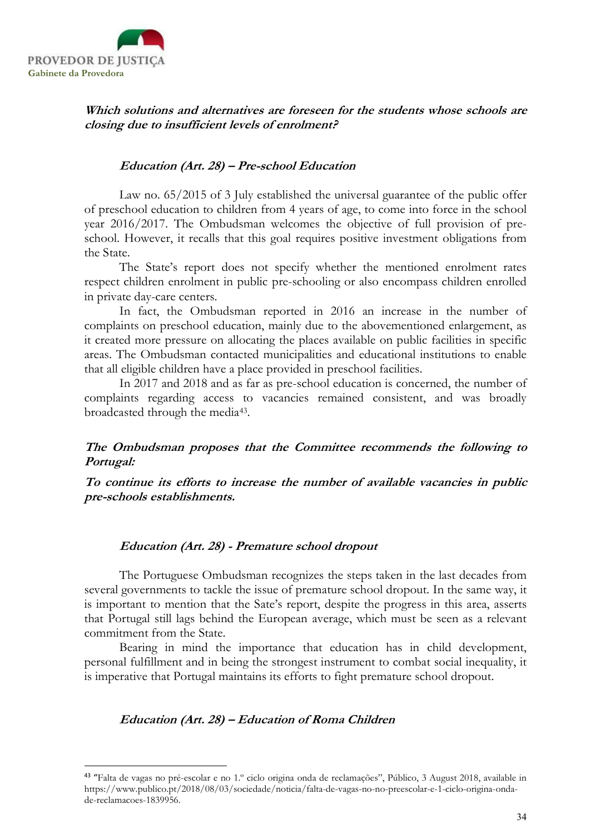

-

Which solutions and alternatives are foreseen for the students whose schools are closing due to insufficient levels of enrolment?

#### Education (Art. 28) – Pre-school Education

Law no. 65/2015 of 3 July established the universal guarantee of the public offer of preschool education to children from 4 years of age, to come into force in the school year 2016/2017. The Ombudsman welcomes the objective of full provision of preschool. However, it recalls that this goal requires positive investment obligations from the State.

The State's report does not specify whether the mentioned enrolment rates respect children enrolment in public pre-schooling or also encompass children enrolled in private day-care centers.

In fact, the Ombudsman reported in 2016 an increase in the number of complaints on preschool education, mainly due to the abovementioned enlargement, as it created more pressure on allocating the places available on public facilities in specific areas. The Ombudsman contacted municipalities and educational institutions to enable that all eligible children have a place provided in preschool facilities.

In 2017 and 2018 and as far as pre-school education is concerned, the number of complaints regarding access to vacancies remained consistent, and was broadly broadcasted through the media<sup>43</sup>.

## The Ombudsman proposes that the Committee recommends the following to Portugal:

To continue its efforts to increase the number of available vacancies in public pre-schools establishments.

#### Education (Art. 28) - Premature school dropout

The Portuguese Ombudsman recognizes the steps taken in the last decades from several governments to tackle the issue of premature school dropout. In the same way, it is important to mention that the Sate's report, despite the progress in this area, asserts that Portugal still lags behind the European average, which must be seen as a relevant commitment from the State.

Bearing in mind the importance that education has in child development, personal fulfillment and in being the strongest instrument to combat social inequality, it is imperative that Portugal maintains its efforts to fight premature school dropout.

## Education (Art. 28) – Education of Roma Children

<sup>43</sup> "Falta de vagas no pré-escolar e no 1.º ciclo origina onda de reclamações", Público, 3 August 2018, available in https://www.publico.pt/2018/08/03/sociedade/noticia/falta-de-vagas-no-no-preescolar-e-1-ciclo-origina-ondade-reclamacoes-1839956.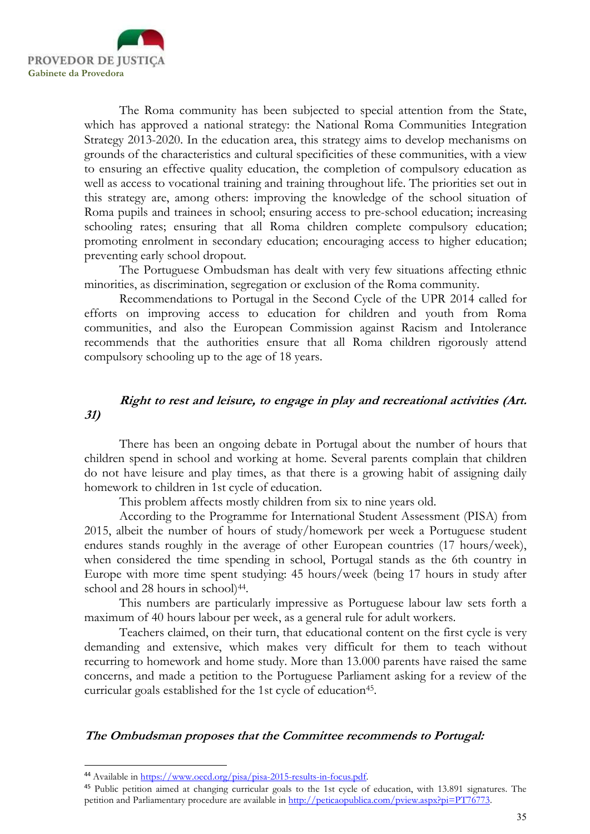

The Roma community has been subjected to special attention from the State, which has approved a national strategy: the National Roma Communities Integration Strategy 2013-2020. In the education area, this strategy aims to develop mechanisms on grounds of the characteristics and cultural specificities of these communities, with a view to ensuring an effective quality education, the completion of compulsory education as well as access to vocational training and training throughout life. The priorities set out in this strategy are, among others: improving the knowledge of the school situation of Roma pupils and trainees in school; ensuring access to pre-school education; increasing schooling rates; ensuring that all Roma children complete compulsory education; promoting enrolment in secondary education; encouraging access to higher education; preventing early school dropout.

The Portuguese Ombudsman has dealt with very few situations affecting ethnic minorities, as discrimination, segregation or exclusion of the Roma community.

Recommendations to Portugal in the Second Cycle of the UPR 2014 called for efforts on improving access to education for children and youth from Roma communities, and also the European Commission against Racism and Intolerance recommends that the authorities ensure that all Roma children rigorously attend compulsory schooling up to the age of 18 years.

## Right to rest and leisure, to engage in play and recreational activities (Art. 31)

There has been an ongoing debate in Portugal about the number of hours that children spend in school and working at home. Several parents complain that children do not have leisure and play times, as that there is a growing habit of assigning daily homework to children in 1st cycle of education.

This problem affects mostly children from six to nine years old.

According to the Programme for International Student Assessment (PISA) from 2015, albeit the number of hours of study/homework per week a Portuguese student endures stands roughly in the average of other European countries (17 hours/week), when considered the time spending in school, Portugal stands as the 6th country in Europe with more time spent studying: 45 hours/week (being 17 hours in study after school and 28 hours in school)<sup>44</sup>.

This numbers are particularly impressive as Portuguese labour law sets forth a maximum of 40 hours labour per week, as a general rule for adult workers.

Teachers claimed, on their turn, that educational content on the first cycle is very demanding and extensive, which makes very difficult for them to teach without recurring to homework and home study. More than 13.000 parents have raised the same concerns, and made a petition to the Portuguese Parliament asking for a review of the curricular goals established for the 1st cycle of education<sup>45</sup>.

#### The Ombudsman proposes that the Committee recommends to Portugal:

<sup>44</sup> Available in https://www.oecd.org/pisa/pisa-2015-results-in-focus.pdf.

<sup>&</sup>lt;sup>45</sup> Public petition aimed at changing curricular goals to the 1st cycle of education, with 13.891 signatures. The petition and Parliamentary procedure are available in http://peticaopublica.com/pview.aspx?pi=PT76773.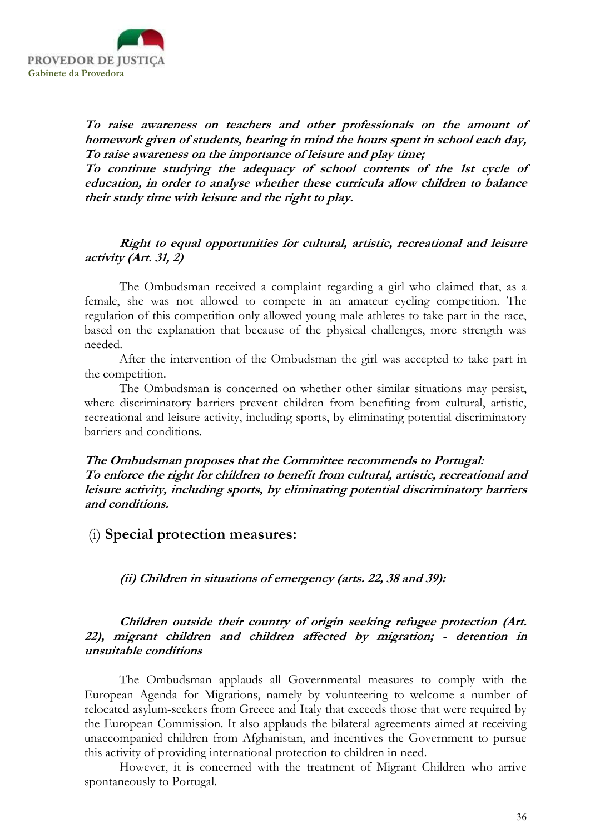

To raise awareness on teachers and other professionals on the amount of homework given of students, bearing in mind the hours spent in school each day, To raise awareness on the importance of leisure and play time;

To continue studying the adequacy of school contents of the 1st cycle of education, in order to analyse whether these curricula allow children to balance their study time with leisure and the right to play.

## Right to equal opportunities for cultural, artistic, recreational and leisure activity (Art. 31, 2)

The Ombudsman received a complaint regarding a girl who claimed that, as a female, she was not allowed to compete in an amateur cycling competition. The regulation of this competition only allowed young male athletes to take part in the race, based on the explanation that because of the physical challenges, more strength was needed.

After the intervention of the Ombudsman the girl was accepted to take part in the competition.

The Ombudsman is concerned on whether other similar situations may persist, where discriminatory barriers prevent children from benefiting from cultural, artistic, recreational and leisure activity, including sports, by eliminating potential discriminatory barriers and conditions.

The Ombudsman proposes that the Committee recommends to Portugal: To enforce the right for children to benefit from cultural, artistic, recreational and leisure activity, including sports, by eliminating potential discriminatory barriers and conditions.

## (i) Special protection measures:

(ii) Children in situations of emergency (arts. 22, 38 and 39):

## Children outside their country of origin seeking refugee protection (Art. 22), migrant children and children affected by migration; - detention in unsuitable conditions

The Ombudsman applauds all Governmental measures to comply with the European Agenda for Migrations, namely by volunteering to welcome a number of relocated asylum-seekers from Greece and Italy that exceeds those that were required by the European Commission. It also applauds the bilateral agreements aimed at receiving unaccompanied children from Afghanistan, and incentives the Government to pursue this activity of providing international protection to children in need.

However, it is concerned with the treatment of Migrant Children who arrive spontaneously to Portugal.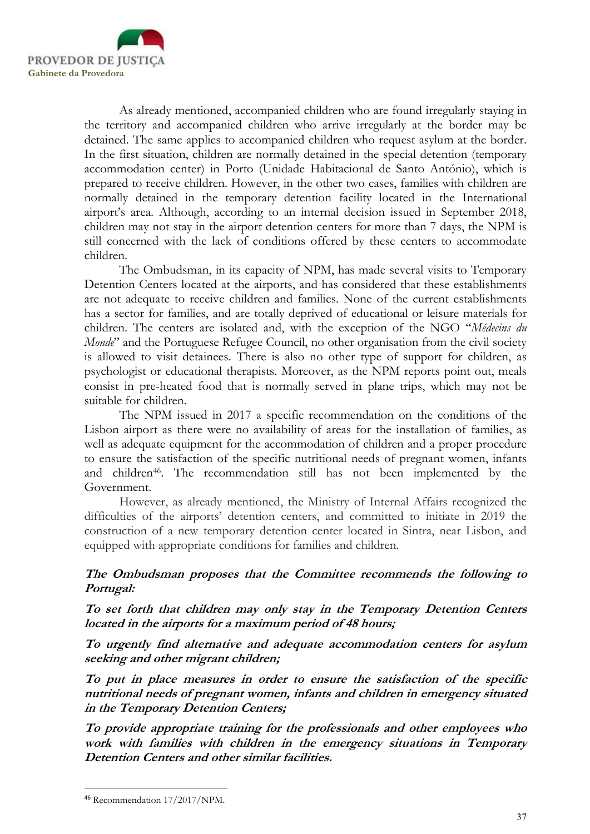

As already mentioned, accompanied children who are found irregularly staying in the territory and accompanied children who arrive irregularly at the border may be detained. The same applies to accompanied children who request asylum at the border. In the first situation, children are normally detained in the special detention (temporary accommodation center) in Porto (Unidade Habitacional de Santo António), which is prepared to receive children. However, in the other two cases, families with children are normally detained in the temporary detention facility located in the International airport's area. Although, according to an internal decision issued in September 2018, children may not stay in the airport detention centers for more than 7 days, the NPM is still concerned with the lack of conditions offered by these centers to accommodate children.

The Ombudsman, in its capacity of NPM, has made several visits to Temporary Detention Centers located at the airports, and has considered that these establishments are not adequate to receive children and families. None of the current establishments has a sector for families, and are totally deprived of educational or leisure materials for children. The centers are isolated and, with the exception of the NGO "Médecins du Monde" and the Portuguese Refugee Council, no other organisation from the civil society is allowed to visit detainees. There is also no other type of support for children, as psychologist or educational therapists. Moreover, as the NPM reports point out, meals consist in pre-heated food that is normally served in plane trips, which may not be suitable for children.

The NPM issued in 2017 a specific recommendation on the conditions of the Lisbon airport as there were no availability of areas for the installation of families, as well as adequate equipment for the accommodation of children and a proper procedure to ensure the satisfaction of the specific nutritional needs of pregnant women, infants and children<sup>46</sup>. The recommendation still has not been implemented by the Government.

However, as already mentioned, the Ministry of Internal Affairs recognized the difficulties of the airports' detention centers, and committed to initiate in 2019 the construction of a new temporary detention center located in Sintra, near Lisbon, and equipped with appropriate conditions for families and children.

## The Ombudsman proposes that the Committee recommends the following to Portugal:

To set forth that children may only stay in the Temporary Detention Centers located in the airports for a maximum period of 48 hours;

To urgently find alternative and adequate accommodation centers for asylum seeking and other migrant children;

To put in place measures in order to ensure the satisfaction of the specific nutritional needs of pregnant women, infants and children in emergency situated in the Temporary Detention Centers;

To provide appropriate training for the professionals and other employees who work with families with children in the emergency situations in Temporary Detention Centers and other similar facilities.

<sup>46</sup> Recommendation 17/2017/NPM.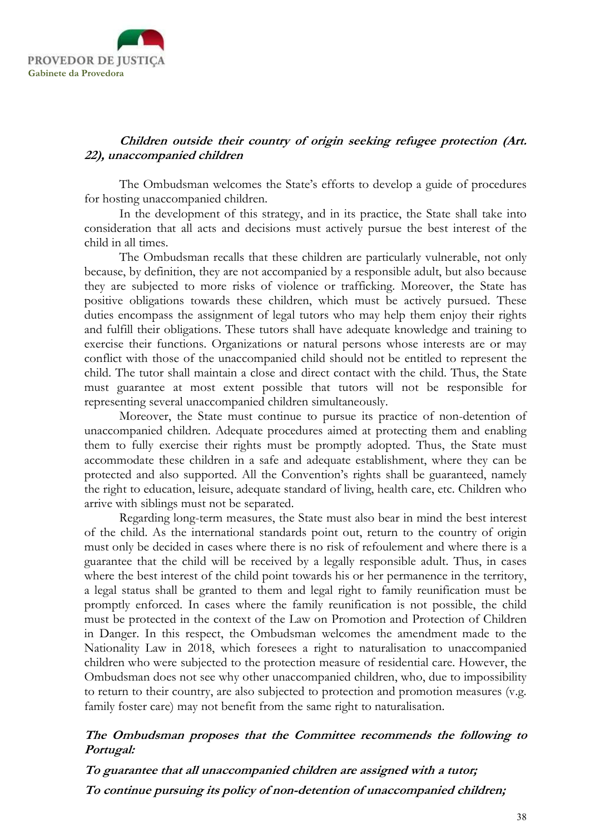

## Children outside their country of origin seeking refugee protection (Art. 22), unaccompanied children

The Ombudsman welcomes the State's efforts to develop a guide of procedures for hosting unaccompanied children.

In the development of this strategy, and in its practice, the State shall take into consideration that all acts and decisions must actively pursue the best interest of the child in all times.

The Ombudsman recalls that these children are particularly vulnerable, not only because, by definition, they are not accompanied by a responsible adult, but also because they are subjected to more risks of violence or trafficking. Moreover, the State has positive obligations towards these children, which must be actively pursued. These duties encompass the assignment of legal tutors who may help them enjoy their rights and fulfill their obligations. These tutors shall have adequate knowledge and training to exercise their functions. Organizations or natural persons whose interests are or may conflict with those of the unaccompanied child should not be entitled to represent the child. The tutor shall maintain a close and direct contact with the child. Thus, the State must guarantee at most extent possible that tutors will not be responsible for representing several unaccompanied children simultaneously.

Moreover, the State must continue to pursue its practice of non-detention of unaccompanied children. Adequate procedures aimed at protecting them and enabling them to fully exercise their rights must be promptly adopted. Thus, the State must accommodate these children in a safe and adequate establishment, where they can be protected and also supported. All the Convention's rights shall be guaranteed, namely the right to education, leisure, adequate standard of living, health care, etc. Children who arrive with siblings must not be separated.

Regarding long-term measures, the State must also bear in mind the best interest of the child. As the international standards point out, return to the country of origin must only be decided in cases where there is no risk of refoulement and where there is a guarantee that the child will be received by a legally responsible adult. Thus, in cases where the best interest of the child point towards his or her permanence in the territory, a legal status shall be granted to them and legal right to family reunification must be promptly enforced. In cases where the family reunification is not possible, the child must be protected in the context of the Law on Promotion and Protection of Children in Danger. In this respect, the Ombudsman welcomes the amendment made to the Nationality Law in 2018, which foresees a right to naturalisation to unaccompanied children who were subjected to the protection measure of residential care. However, the Ombudsman does not see why other unaccompanied children, who, due to impossibility to return to their country, are also subjected to protection and promotion measures (v.g. family foster care) may not benefit from the same right to naturalisation.

## The Ombudsman proposes that the Committee recommends the following to Portugal:

To guarantee that all unaccompanied children are assigned with a tutor; To continue pursuing its policy of non-detention of unaccompanied children;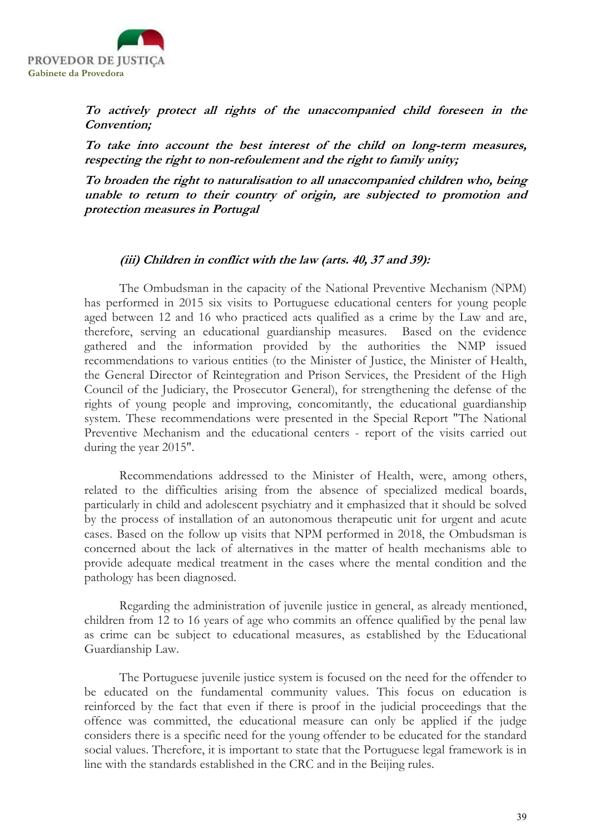

To actively protect all rights of the unaccompanied child foreseen in the Convention;

To take into account the best interest of the child on long-term measures, respecting the right to non-refoulement and the right to family unity;

To broaden the right to naturalisation to all unaccompanied children who, being unable to return to their country of origin, are subjected to promotion and protection measures in Portugal

#### (iii) Children in conflict with the law (arts. 40, 37 and 39):

 The Ombudsman in the capacity of the National Preventive Mechanism (NPM) has performed in 2015 six visits to Portuguese educational centers for young people aged between 12 and 16 who practiced acts qualified as a crime by the Law and are, therefore, serving an educational guardianship measures. Based on the evidence gathered and the information provided by the authorities the NMP issued recommendations to various entities (to the Minister of Justice, the Minister of Health, the General Director of Reintegration and Prison Services, the President of the High Council of the Judiciary, the Prosecutor General), for strengthening the defense of the rights of young people and improving, concomitantly, the educational guardianship system. These recommendations were presented in the Special Report "The National Preventive Mechanism and the educational centers - report of the visits carried out during the year 2015".

Recommendations addressed to the Minister of Health, were, among others, related to the difficulties arising from the absence of specialized medical boards, particularly in child and adolescent psychiatry and it emphasized that it should be solved by the process of installation of an autonomous therapeutic unit for urgent and acute cases. Based on the follow up visits that NPM performed in 2018, the Ombudsman is concerned about the lack of alternatives in the matter of health mechanisms able to provide adequate medical treatment in the cases where the mental condition and the pathology has been diagnosed.

Regarding the administration of juvenile justice in general, as already mentioned, children from 12 to 16 years of age who commits an offence qualified by the penal law as crime can be subject to educational measures, as established by the Educational Guardianship Law.

The Portuguese juvenile justice system is focused on the need for the offender to be educated on the fundamental community values. This focus on education is reinforced by the fact that even if there is proof in the judicial proceedings that the offence was committed, the educational measure can only be applied if the judge considers there is a specific need for the young offender to be educated for the standard social values. Therefore, it is important to state that the Portuguese legal framework is in line with the standards established in the CRC and in the Beijing rules.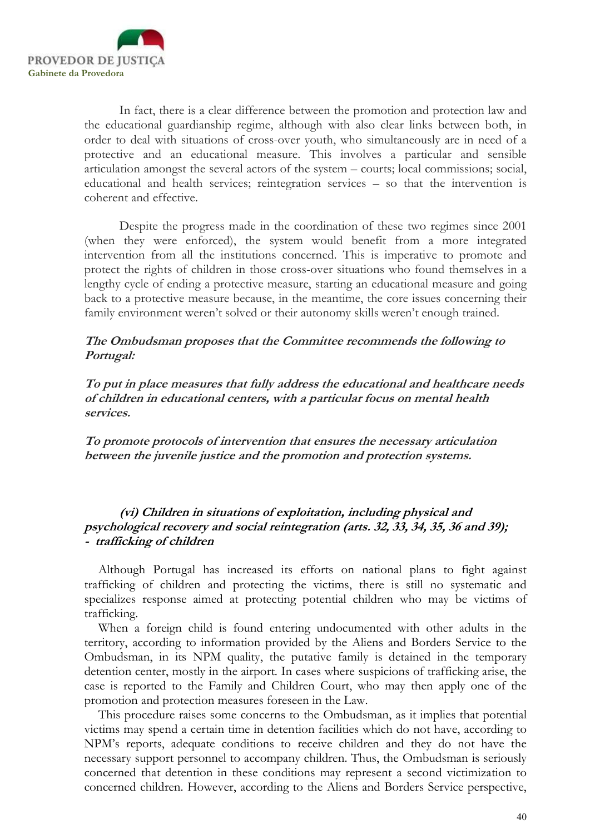

In fact, there is a clear difference between the promotion and protection law and the educational guardianship regime, although with also clear links between both, in order to deal with situations of cross-over youth, who simultaneously are in need of a protective and an educational measure. This involves a particular and sensible articulation amongst the several actors of the system – courts; local commissions; social, educational and health services; reintegration services – so that the intervention is coherent and effective.

Despite the progress made in the coordination of these two regimes since 2001 (when they were enforced), the system would benefit from a more integrated intervention from all the institutions concerned. This is imperative to promote and protect the rights of children in those cross-over situations who found themselves in a lengthy cycle of ending a protective measure, starting an educational measure and going back to a protective measure because, in the meantime, the core issues concerning their family environment weren't solved or their autonomy skills weren't enough trained.

## The Ombudsman proposes that the Committee recommends the following to Portugal:

To put in place measures that fully address the educational and healthcare needs of children in educational centers, with a particular focus on mental health services.

To promote protocols of intervention that ensures the necessary articulation between the juvenile justice and the promotion and protection systems.

## (vi) Children in situations of exploitation, including physical and psychological recovery and social reintegration (arts. 32, 33, 34, 35, 36 and 39); - trafficking of children

Although Portugal has increased its efforts on national plans to fight against trafficking of children and protecting the victims, there is still no systematic and specializes response aimed at protecting potential children who may be victims of trafficking.

When a foreign child is found entering undocumented with other adults in the territory, according to information provided by the Aliens and Borders Service to the Ombudsman, in its NPM quality, the putative family is detained in the temporary detention center, mostly in the airport. In cases where suspicions of trafficking arise, the case is reported to the Family and Children Court, who may then apply one of the promotion and protection measures foreseen in the Law.

This procedure raises some concerns to the Ombudsman, as it implies that potential victims may spend a certain time in detention facilities which do not have, according to NPM's reports, adequate conditions to receive children and they do not have the necessary support personnel to accompany children. Thus, the Ombudsman is seriously concerned that detention in these conditions may represent a second victimization to concerned children. However, according to the Aliens and Borders Service perspective,